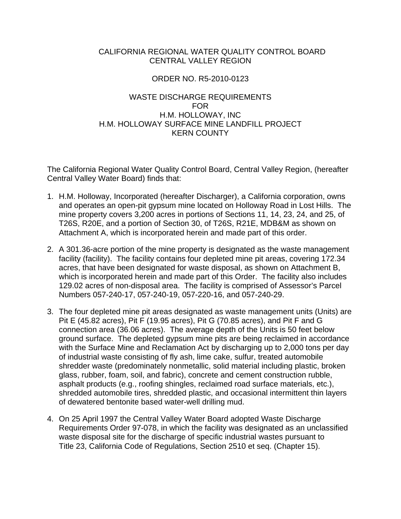### CALIFORNIA REGIONAL WATER QUALITY CONTROL BOARD CENTRAL VALLEY REGION

## ORDER NO. R5-2010-0123

## WASTE DISCHARGE REQUIREMENTS FOR H.M. HOLLOWAY, INC H.M. HOLLOWAY SURFACE MINE LANDFILL PROJECT KERN COUNTY

The California Regional Water Quality Control Board, Central Valley Region, (hereafter Central Valley Water Board) finds that:

- 1. H.M. Holloway, Incorporated (hereafter Discharger), a California corporation, owns and operates an open-pit gypsum mine located on Holloway Road in Lost Hills. The mine property covers 3,200 acres in portions of Sections 11, 14, 23, 24, and 25, of T26S, R20E, and a portion of Section 30, of T26S, R21E, MDB&M as shown on Attachment A, which is incorporated herein and made part of this order.
- 2. A 301.36-acre portion of the mine property is designated as the waste management facility (facility). The facility contains four depleted mine pit areas, covering 172.34 acres, that have been designated for waste disposal, as shown on Attachment B, which is incorporated herein and made part of this Order. The facility also includes 129.02 acres of non-disposal area. The facility is comprised of Assessor's Parcel Numbers 057-240-17, 057-240-19, 057-220-16, and 057-240-29.
- 3. The four depleted mine pit areas designated as waste management units (Units) are Pit E (45.82 acres), Pit F (19.95 acres), Pit G (70.85 acres), and Pit F and G connection area (36.06 acres). The average depth of the Units is 50 feet below ground surface. The depleted gypsum mine pits are being reclaimed in accordance with the Surface Mine and Reclamation Act by discharging up to 2,000 tons per day of industrial waste consisting of fly ash, lime cake, sulfur, treated automobile shredder waste (predominately nonmetallic, solid material including plastic, broken glass, rubber, foam, soil, and fabric), concrete and cement construction rubble, asphalt products (e.g., roofing shingles, reclaimed road surface materials, etc.), shredded automobile tires, shredded plastic, and occasional intermittent thin layers of dewatered bentonite based water-well drilling mud.
- 4. On 25 April 1997 the Central Valley Water Board adopted Waste Discharge Requirements Order 97-078, in which the facility was designated as an unclassified waste disposal site for the discharge of specific industrial wastes pursuant to Title 23, California Code of Regulations, Section 2510 et seq. (Chapter 15).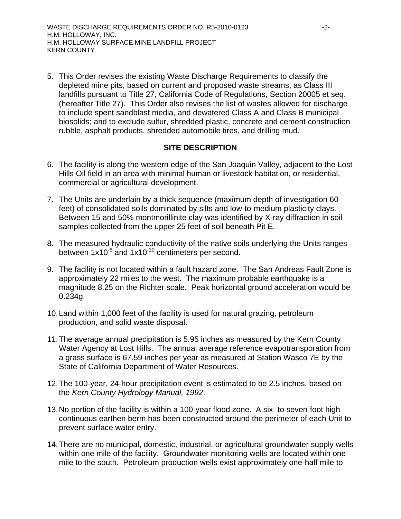5. This Order revises the existing Waste Discharge Requirements to classify the depleted mine pits, based on current and proposed waste streams, as Class III landfills pursuant to Title 27, California Code of Regulations, Section 20005 et seq. (hereafter Title 27). This Order also revises the list of wastes allowed for discharge to include spent sandblast media, and dewatered Class A and Class B municipal biosolids; and to exclude sulfur, shredded plastic, concrete and cement construction rubble, asphalt products, shredded automobile tires, and drilling mud.

# **SITE DESCRIPTION**

- 6. The facility is along the western edge of the San Joaquin Valley, adjacent to the Lost Hills Oil field in an area with minimal human or livestock habitation, or residential, commercial or agricultural development.
- 7. The Units are underlain by a thick sequence (maximum depth of investigation 60 feet) of consolidated soils dominated by silts and low-to-medium plasticity clays. Between 15 and 50% montmorillinite clay was identified by X-ray diffraction in soil samples collected from the upper 25 feet of soil beneath Pit E.
- 8. The measured hydraulic conductivity of the native soils underlying the Units ranges between  $1x10^{-6}$  and  $1x10^{-10}$  centimeters per second.
- 9. The facility is not located within a fault hazard zone. The San Andreas Fault Zone is approximately 22 miles to the west. The maximum probable earthquake is a magnitude 8.25 on the Richter scale. Peak horizontal ground acceleration would be 0.234g.
- 10. Land within 1,000 feet of the facility is used for natural grazing, petroleum production, and solid waste disposal.
- 11. The average annual precipitation is 5.95 inches as measured by the Kern County Water Agency at Lost Hills. The annual average reference evapotransporation from a grass surface is 67.59 inches per year as measured at Station Wasco 7E by the State of California Department of Water Resources.
- 12. The 100-year, 24-hour precipitation event is estimated to be 2.5 inches, based on the *Kern County Hydrology Manual, 1992*.
- 13. No portion of the facility is within a 100-year flood zone. A six- to seven-foot high continuous earthen berm has been constructed around the perimeter of each Unit to prevent surface water entry.
- 14. There are no municipal, domestic, industrial, or agricultural groundwater supply wells within one mile of the facility. Groundwater monitoring wells are located within one mile to the south. Petroleum production wells exist approximately one-half mile to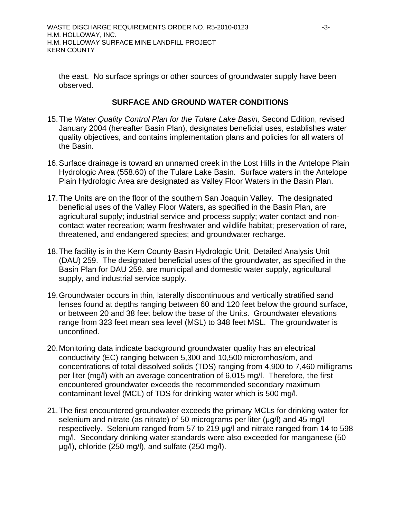the east. No surface springs or other sources of groundwater supply have been observed.

## **SURFACE AND GROUND WATER CONDITIONS**

- 15. The *Water Quality Control Plan for the Tulare Lake Basin,* Second Edition, revised January 2004 (hereafter Basin Plan), designates beneficial uses, establishes water quality objectives, and contains implementation plans and policies for all waters of the Basin.
- 16. Surface drainage is toward an unnamed creek in the Lost Hills in the Antelope Plain Hydrologic Area (558.60) of the Tulare Lake Basin. Surface waters in the Antelope Plain Hydrologic Area are designated as Valley Floor Waters in the Basin Plan.
- 17. The Units are on the floor of the southern San Joaquin Valley. The designated beneficial uses of the Valley Floor Waters, as specified in the Basin Plan, are agricultural supply; industrial service and process supply; water contact and noncontact water recreation; warm freshwater and wildlife habitat; preservation of rare, threatened, and endangered species; and groundwater recharge.
- 18. The facility is in the Kern County Basin Hydrologic Unit, Detailed Analysis Unit (DAU) 259. The designated beneficial uses of the groundwater, as specified in the Basin Plan for DAU 259, are municipal and domestic water supply, agricultural supply, and industrial service supply.
- 19. Groundwater occurs in thin, laterally discontinuous and vertically stratified sand lenses found at depths ranging between 60 and 120 feet below the ground surface, or between 20 and 38 feet below the base of the Units. Groundwater elevations range from 323 feet mean sea level (MSL) to 348 feet MSL. The groundwater is unconfined.
- 20. Monitoring data indicate background groundwater quality has an electrical conductivity (EC) ranging between 5,300 and 10,500 micromhos/cm, and concentrations of total dissolved solids (TDS) ranging from 4,900 to 7,460 milligrams per liter (mg/l) with an average concentration of 6,015 mg/l. Therefore, the first encountered groundwater exceeds the recommended secondary maximum contaminant level (MCL) of TDS for drinking water which is 500 mg/l.
- 21. The first encountered groundwater exceeds the primary MCLs for drinking water for selenium and nitrate (as nitrate) of 50 micrograms per liter ( $\mu$ g/l) and 45 mg/l respectively. Selenium ranged from 57 to 219 μg/l and nitrate ranged from 14 to 598 mg/l. Secondary drinking water standards were also exceeded for manganese (50 μg/l), chloride (250 mg/l), and sulfate (250 mg/l).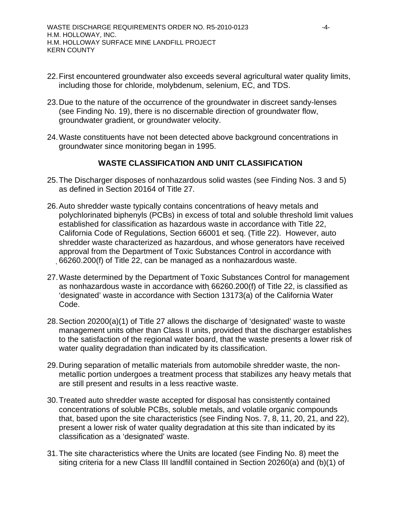- 22. First encountered groundwater also exceeds several agricultural water quality limits, including those for chloride, molybdenum, selenium, EC, and TDS.
- 23. Due to the nature of the occurrence of the groundwater in discreet sandy-lenses (see Finding No. 19), there is no discernable direction of groundwater flow, groundwater gradient, or groundwater velocity.
- 24. Waste constituents have not been detected above background concentrations in groundwater since monitoring began in 1995.

# **WASTE CLASSIFICATION AND UNIT CLASSIFICATION**

- 25. The Discharger disposes of nonhazardous solid wastes (see Finding Nos. 3 and 5) as defined in Section 20164 of Title 27.
- 26. Auto shredder waste typically contains concentrations of heavy metals and polychlorinated biphenyls (PCBs) in excess of total and soluble threshold limit values established for classification as hazardous waste in accordance with Title 22, California Code of Regulations, Section 66001 et seq. (Title 22). However, auto shredder waste characterized as hazardous, and whose generators have received approval from the Department of Toxic Substances Control in accordance with 66260.200(f) of Title 22, can be managed as a nonhazardous waste.
- 27. Waste determined by the Department of Toxic Substances Control for management as nonhazardous waste in accordance with 66260.200(f) of Title 22, is classified as 'designated' waste in accordance with Section 13173(a) of the California Water Code.
- 28. Section 20200(a)(1) of Title 27 allows the discharge of 'designated' waste to waste management units other than Class II units, provided that the discharger establishes to the satisfaction of the regional water board, that the waste presents a lower risk of water quality degradation than indicated by its classification.
- 29. During separation of metallic materials from automobile shredder waste, the nonmetallic portion undergoes a treatment process that stabilizes any heavy metals that are still present and results in a less reactive waste.
- 30. Treated auto shredder waste accepted for disposal has consistently contained concentrations of soluble PCBs, soluble metals, and volatile organic compounds that, based upon the site characteristics (see Finding Nos. 7, 8, 11, 20, 21, and 22), present a lower risk of water quality degradation at this site than indicated by its classification as a 'designated' waste.
- 31. The site characteristics where the Units are located (see Finding No. 8) meet the siting criteria for a new Class III landfill contained in Section 20260(a) and (b)(1) of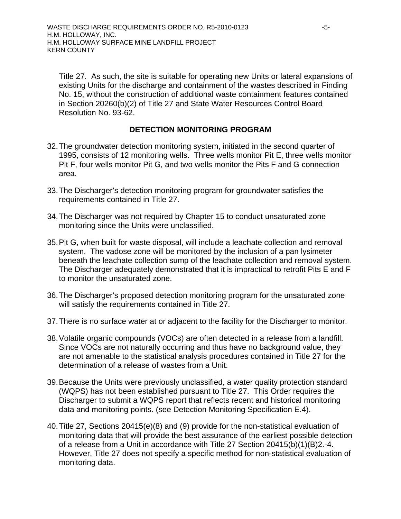Title 27. As such, the site is suitable for operating new Units or lateral expansions of existing Units for the discharge and containment of the wastes described in Finding No. 15, without the construction of additional waste containment features contained in Section 20260(b)(2) of Title 27 and State Water Resources Control Board Resolution No. 93-62.

# **DETECTION MONITORING PROGRAM**

- 32. The groundwater detection monitoring system, initiated in the second quarter of 1995, consists of 12 monitoring wells. Three wells monitor Pit E, three wells monitor Pit F, four wells monitor Pit G, and two wells monitor the Pits F and G connection area.
- 33. The Discharger's detection monitoring program for groundwater satisfies the requirements contained in Title 27.
- 34. The Discharger was not required by Chapter 15 to conduct unsaturated zone monitoring since the Units were unclassified.
- 35. Pit G, when built for waste disposal, will include a leachate collection and removal system. The vadose zone will be monitored by the inclusion of a pan lysimeter beneath the leachate collection sump of the leachate collection and removal system. The Discharger adequately demonstrated that it is impractical to retrofit Pits E and F to monitor the unsaturated zone.
- 36. The Discharger's proposed detection monitoring program for the unsaturated zone will satisfy the requirements contained in Title 27.
- 37. There is no surface water at or adjacent to the facility for the Discharger to monitor.
- 38. Volatile organic compounds (VOCs) are often detected in a release from a landfill. Since VOCs are not naturally occurring and thus have no background value, they are not amenable to the statistical analysis procedures contained in Title 27 for the determination of a release of wastes from a Unit.
- 39. Because the Units were previously unclassified, a water quality protection standard (WQPS) has not been established pursuant to Title 27. This Order requires the Discharger to submit a WQPS report that reflects recent and historical monitoring data and monitoring points. (see Detection Monitoring Specification E.4).
- 40. Title 27, Sections 20415(e)(8) and (9) provide for the non-statistical evaluation of monitoring data that will provide the best assurance of the earliest possible detection of a release from a Unit in accordance with Title 27 Section 20415(b)(1)(B)2.-4. However, Title 27 does not specify a specific method for non-statistical evaluation of monitoring data.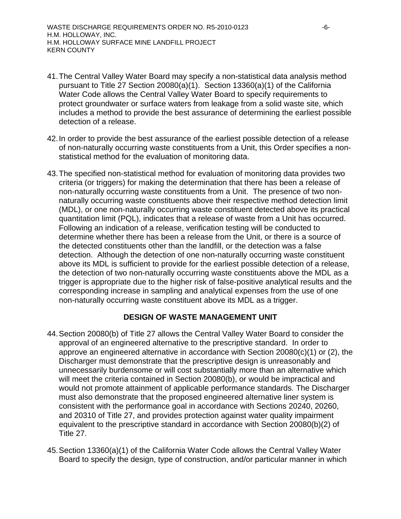- 41. The Central Valley Water Board may specify a non-statistical data analysis method pursuant to Title 27 Section 20080(a)(1). Section 13360(a)(1) of the California Water Code allows the Central Valley Water Board to specify requirements to protect groundwater or surface waters from leakage from a solid waste site, which includes a method to provide the best assurance of determining the earliest possible detection of a release.
- 42. In order to provide the best assurance of the earliest possible detection of a release of non-naturally occurring waste constituents from a Unit, this Order specifies a nonstatistical method for the evaluation of monitoring data.
- 43. The specified non-statistical method for evaluation of monitoring data provides two criteria (or triggers) for making the determination that there has been a release of non-naturally occurring waste constituents from a Unit. The presence of two nonnaturally occurring waste constituents above their respective method detection limit (MDL), or one non-naturally occurring waste constituent detected above its practical quantitation limit (PQL), indicates that a release of waste from a Unit has occurred. Following an indication of a release, verification testing will be conducted to determine whether there has been a release from the Unit, or there is a source of the detected constituents other than the landfill, or the detection was a false detection. Although the detection of one non-naturally occurring waste constituent above its MDL is sufficient to provide for the earliest possible detection of a release, the detection of two non-naturally occurring waste constituents above the MDL as a trigger is appropriate due to the higher risk of false-positive analytical results and the corresponding increase in sampling and analytical expenses from the use of one non-naturally occurring waste constituent above its MDL as a trigger.

### **DESIGN OF WASTE MANAGEMENT UNIT**

- 44. Section 20080(b) of Title 27 allows the Central Valley Water Board to consider the approval of an engineered alternative to the prescriptive standard. In order to approve an engineered alternative in accordance with Section 20080(c)(1) or (2), the Discharger must demonstrate that the prescriptive design is unreasonably and unnecessarily burdensome or will cost substantially more than an alternative which will meet the criteria contained in Section 20080(b), or would be impractical and would not promote attainment of applicable performance standards. The Discharger must also demonstrate that the proposed engineered alternative liner system is consistent with the performance goal in accordance with Sections 20240, 20260, and 20310 of Title 27, and provides protection against water quality impairment equivalent to the prescriptive standard in accordance with Section 20080(b)(2) of Title 27.
- 45. Section 13360(a)(1) of the California Water Code allows the Central Valley Water Board to specify the design, type of construction, and/or particular manner in which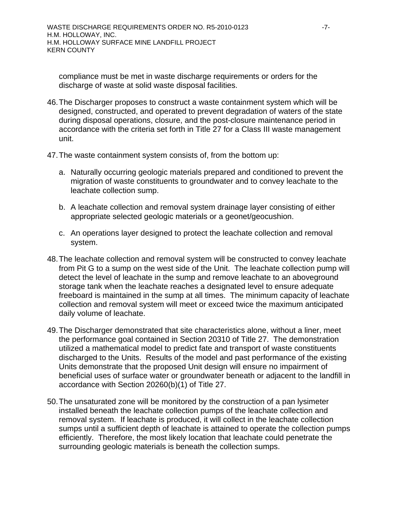compliance must be met in waste discharge requirements or orders for the discharge of waste at solid waste disposal facilities.

- 46. The Discharger proposes to construct a waste containment system which will be designed, constructed, and operated to prevent degradation of waters of the state during disposal operations, closure, and the post-closure maintenance period in accordance with the criteria set forth in Title 27 for a Class III waste management unit.
- 47. The waste containment system consists of, from the bottom up:
	- a. Naturally occurring geologic materials prepared and conditioned to prevent the migration of waste constituents to groundwater and to convey leachate to the leachate collection sump.
	- b. A leachate collection and removal system drainage layer consisting of either appropriate selected geologic materials or a geonet/geocushion.
	- c. An operations layer designed to protect the leachate collection and removal system.
- 48. The leachate collection and removal system will be constructed to convey leachate from Pit G to a sump on the west side of the Unit. The leachate collection pump will detect the level of leachate in the sump and remove leachate to an aboveground storage tank when the leachate reaches a designated level to ensure adequate freeboard is maintained in the sump at all times. The minimum capacity of leachate collection and removal system will meet or exceed twice the maximum anticipated daily volume of leachate.
- 49. The Discharger demonstrated that site characteristics alone, without a liner, meet the performance goal contained in Section 20310 of Title 27. The demonstration utilized a mathematical model to predict fate and transport of waste constituents discharged to the Units. Results of the model and past performance of the existing Units demonstrate that the proposed Unit design will ensure no impairment of beneficial uses of surface water or groundwater beneath or adjacent to the landfill in accordance with Section 20260(b)(1) of Title 27.
- 50. The unsaturated zone will be monitored by the construction of a pan lysimeter installed beneath the leachate collection pumps of the leachate collection and removal system. If leachate is produced, it will collect in the leachate collection sumps until a sufficient depth of leachate is attained to operate the collection pumps efficiently. Therefore, the most likely location that leachate could penetrate the surrounding geologic materials is beneath the collection sumps.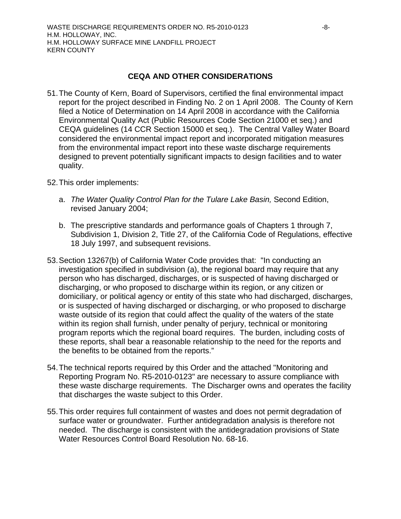## **CEQA AND OTHER CONSIDERATIONS**

- 51. The County of Kern, Board of Supervisors, certified the final environmental impact report for the project described in Finding No. 2 on 1 April 2008. The County of Kern filed a Notice of Determination on 14 April 2008 in accordance with the California Environmental Quality Act (Public Resources Code Section 21000 et seq.) and CEQA guidelines (14 CCR Section 15000 et seq.). The Central Valley Water Board considered the environmental impact report and incorporated mitigation measures from the environmental impact report into these waste discharge requirements designed to prevent potentially significant impacts to design facilities and to water quality.
- 52. This order implements:
	- a. *The Water Quality Control Plan for the Tulare Lake Basin,* Second Edition, revised January 2004;
	- b. The prescriptive standards and performance goals of Chapters 1 through 7, Subdivision 1, Division 2, Title 27, of the California Code of Regulations, effective 18 July 1997, and subsequent revisions.
- 53. Section 13267(b) of California Water Code provides that: "In conducting an investigation specified in subdivision (a), the regional board may require that any person who has discharged, discharges, or is suspected of having discharged or discharging, or who proposed to discharge within its region, or any citizen or domiciliary, or political agency or entity of this state who had discharged, discharges, or is suspected of having discharged or discharging, or who proposed to discharge waste outside of its region that could affect the quality of the waters of the state within its region shall furnish, under penalty of perjury, technical or monitoring program reports which the regional board requires. The burden, including costs of these reports, shall bear a reasonable relationship to the need for the reports and the benefits to be obtained from the reports."
- 54. The technical reports required by this Order and the attached "Monitoring and Reporting Program No. R5-2010-0123" are necessary to assure compliance with these waste discharge requirements. The Discharger owns and operates the facility that discharges the waste subject to this Order.
- 55. This order requires full containment of wastes and does not permit degradation of surface water or groundwater. Further antidegradation analysis is therefore not needed. The discharge is consistent with the antidegradation provisions of State Water Resources Control Board Resolution No. 68-16.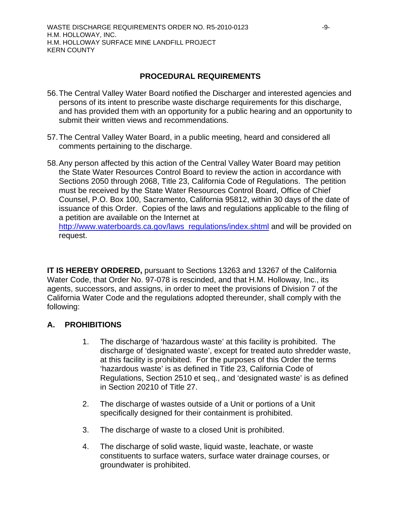## **PROCEDURAL REQUIREMENTS**

- 56. The Central Valley Water Board notified the Discharger and interested agencies and persons of its intent to prescribe waste discharge requirements for this discharge, and has provided them with an opportunity for a public hearing and an opportunity to submit their written views and recommendations.
- 57. The Central Valley Water Board, in a public meeting, heard and considered all comments pertaining to the discharge.
- 58. Any person affected by this action of the Central Valley Water Board may petition the State Water Resources Control Board to review the action in accordance with Sections 2050 through 2068, Title 23, California Code of Regulations. The petition must be received by the State Water Resources Control Board, Office of Chief Counsel, P.O. Box 100, Sacramento, California 95812, within 30 days of the date of issuance of this Order. Copies of the laws and regulations applicable to the filing of a petition are available on the Internet at http://www.waterboards.ca.gov/laws\_regulations/index.shtml and will be provided on

request.

**IT IS HEREBY ORDERED,** pursuant to Sections 13263 and 13267 of the California Water Code, that Order No. 97-078 is rescinded, and that H.M. Holloway, Inc., its agents, successors, and assigns, in order to meet the provisions of Division 7 of the California Water Code and the regulations adopted thereunder, shall comply with the following:

## **A. PROHIBITIONS**

- 1. The discharge of 'hazardous waste' at this facility is prohibited. The discharge of 'designated waste', except for treated auto shredder waste, at this facility is prohibited. For the purposes of this Order the terms 'hazardous waste' is as defined in Title 23, California Code of Regulations, Section 2510 et seq., and 'designated waste' is as defined in Section 20210 of Title 27.
- 2. The discharge of wastes outside of a Unit or portions of a Unit specifically designed for their containment is prohibited.
- 3. The discharge of waste to a closed Unit is prohibited.
- 4. The discharge of solid waste, liquid waste, leachate, or waste constituents to surface waters, surface water drainage courses, or groundwater is prohibited.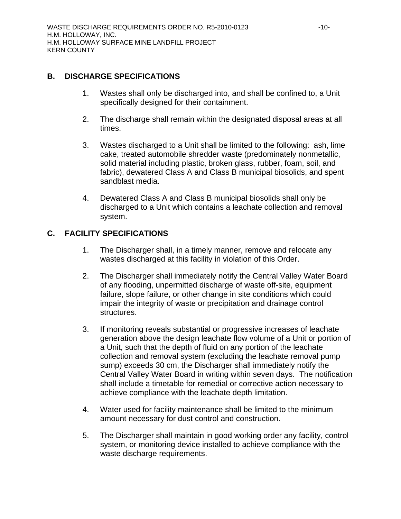## **B. DISCHARGE SPECIFICATIONS**

- 1. Wastes shall only be discharged into, and shall be confined to, a Unit specifically designed for their containment.
- 2. The discharge shall remain within the designated disposal areas at all times.
- 3. Wastes discharged to a Unit shall be limited to the following: ash, lime cake, treated automobile shredder waste (predominately nonmetallic, solid material including plastic, broken glass, rubber, foam, soil, and fabric), dewatered Class A and Class B municipal biosolids, and spent sandblast media.
- 4. Dewatered Class A and Class B municipal biosolids shall only be discharged to a Unit which contains a leachate collection and removal system.

# **C. FACILITY SPECIFICATIONS**

- 1. The Discharger shall, in a timely manner, remove and relocate any wastes discharged at this facility in violation of this Order.
- 2. The Discharger shall immediately notify the Central Valley Water Board of any flooding, unpermitted discharge of waste off-site, equipment failure, slope failure, or other change in site conditions which could impair the integrity of waste or precipitation and drainage control structures.
- 3. If monitoring reveals substantial or progressive increases of leachate generation above the design leachate flow volume of a Unit or portion of a Unit, such that the depth of fluid on any portion of the leachate collection and removal system (excluding the leachate removal pump sump) exceeds 30 cm, the Discharger shall immediately notify the Central Valley Water Board in writing within seven days. The notification shall include a timetable for remedial or corrective action necessary to achieve compliance with the leachate depth limitation.
- 4. Water used for facility maintenance shall be limited to the minimum amount necessary for dust control and construction.
- 5. The Discharger shall maintain in good working order any facility, control system, or monitoring device installed to achieve compliance with the waste discharge requirements.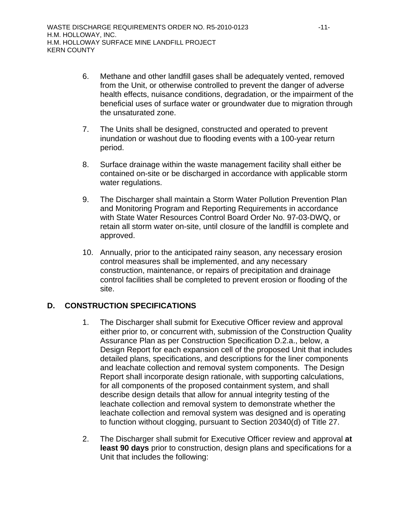- 6. Methane and other landfill gases shall be adequately vented, removed from the Unit, or otherwise controlled to prevent the danger of adverse health effects, nuisance conditions, degradation, or the impairment of the beneficial uses of surface water or groundwater due to migration through the unsaturated zone.
- 7. The Units shall be designed, constructed and operated to prevent inundation or washout due to flooding events with a 100-year return period.
- 8. Surface drainage within the waste management facility shall either be contained on-site or be discharged in accordance with applicable storm water regulations.
- 9. The Discharger shall maintain a Storm Water Pollution Prevention Plan and Monitoring Program and Reporting Requirements in accordance with State Water Resources Control Board Order No. 97-03-DWQ, or retain all storm water on-site, until closure of the landfill is complete and approved.
- 10. Annually, prior to the anticipated rainy season, any necessary erosion control measures shall be implemented, and any necessary construction, maintenance, or repairs of precipitation and drainage control facilities shall be completed to prevent erosion or flooding of the site.

# **D. CONSTRUCTION SPECIFICATIONS**

- 1. The Discharger shall submit for Executive Officer review and approval either prior to, or concurrent with, submission of the Construction Quality Assurance Plan as per Construction Specification D.2.a., below, a Design Report for each expansion cell of the proposed Unit that includes detailed plans, specifications, and descriptions for the liner components and leachate collection and removal system components. The Design Report shall incorporate design rationale, with supporting calculations, for all components of the proposed containment system, and shall describe design details that allow for annual integrity testing of the leachate collection and removal system to demonstrate whether the leachate collection and removal system was designed and is operating to function without clogging, pursuant to Section 20340(d) of Title 27.
- 2. The Discharger shall submit for Executive Officer review and approval **at least 90 days** prior to construction, design plans and specifications for a Unit that includes the following: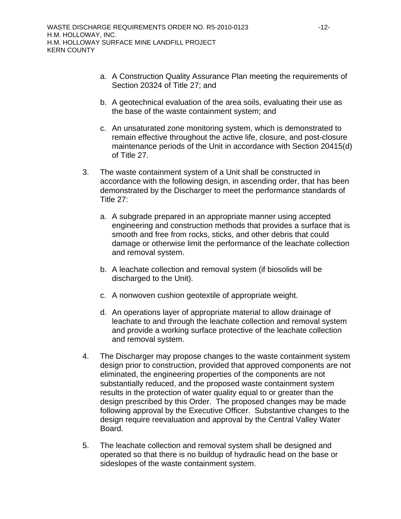- a. A Construction Quality Assurance Plan meeting the requirements of Section 20324 of Title 27; and
- b. A geotechnical evaluation of the area soils, evaluating their use as the base of the waste containment system; and
- c. An unsaturated zone monitoring system, which is demonstrated to remain effective throughout the active life, closure, and post-closure maintenance periods of the Unit in accordance with Section 20415(d) of Title 27.
- 3. The waste containment system of a Unit shall be constructed in accordance with the following design, in ascending order, that has been demonstrated by the Discharger to meet the performance standards of Title 27:
	- a. A subgrade prepared in an appropriate manner using accepted engineering and construction methods that provides a surface that is smooth and free from rocks, sticks, and other debris that could damage or otherwise limit the performance of the leachate collection and removal system.
	- b. A leachate collection and removal system (if biosolids will be discharged to the Unit).
	- c. A nonwoven cushion geotextile of appropriate weight.
	- d. An operations layer of appropriate material to allow drainage of leachate to and through the leachate collection and removal system and provide a working surface protective of the leachate collection and removal system.
- 4. The Discharger may propose changes to the waste containment system design prior to construction, provided that approved components are not eliminated, the engineering properties of the components are not substantially reduced, and the proposed waste containment system results in the protection of water quality equal to or greater than the design prescribed by this Order. The proposed changes may be made following approval by the Executive Officer. Substantive changes to the design require reevaluation and approval by the Central Valley Water Board.
- 5. The leachate collection and removal system shall be designed and operated so that there is no buildup of hydraulic head on the base or sideslopes of the waste containment system.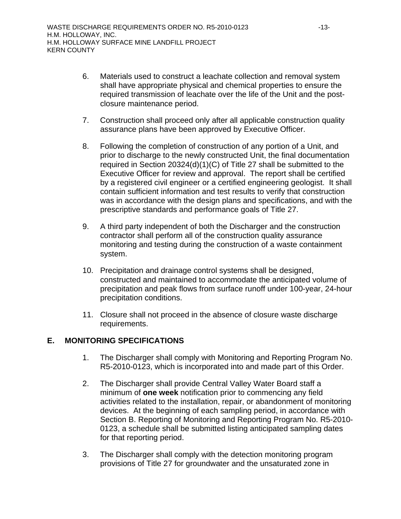- 6. Materials used to construct a leachate collection and removal system shall have appropriate physical and chemical properties to ensure the required transmission of leachate over the life of the Unit and the postclosure maintenance period.
- 7. Construction shall proceed only after all applicable construction quality assurance plans have been approved by Executive Officer.
- 8. Following the completion of construction of any portion of a Unit, and prior to discharge to the newly constructed Unit, the final documentation required in Section 20324(d)(1)(C) of Title 27 shall be submitted to the Executive Officer for review and approval. The report shall be certified by a registered civil engineer or a certified engineering geologist. It shall contain sufficient information and test results to verify that construction was in accordance with the design plans and specifications, and with the prescriptive standards and performance goals of Title 27.
- 9. A third party independent of both the Discharger and the construction contractor shall perform all of the construction quality assurance monitoring and testing during the construction of a waste containment system.
- 10. Precipitation and drainage control systems shall be designed, constructed and maintained to accommodate the anticipated volume of precipitation and peak flows from surface runoff under 100-year, 24-hour precipitation conditions.
- 11. Closure shall not proceed in the absence of closure waste discharge requirements.

# **E. MONITORING SPECIFICATIONS**

- 1. The Discharger shall comply with Monitoring and Reporting Program No. R5-2010-0123, which is incorporated into and made part of this Order.
- 2. The Discharger shall provide Central Valley Water Board staff a minimum of **one week** notification prior to commencing any field activities related to the installation, repair, or abandonment of monitoring devices. At the beginning of each sampling period, in accordance with Section B. Reporting of Monitoring and Reporting Program No. R5-2010- 0123, a schedule shall be submitted listing anticipated sampling dates for that reporting period.
- 3. The Discharger shall comply with the detection monitoring program provisions of Title 27 for groundwater and the unsaturated zone in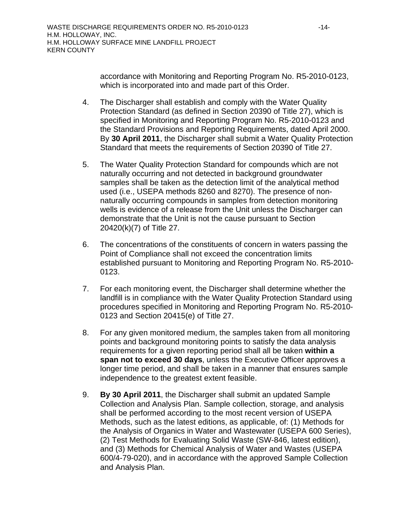accordance with Monitoring and Reporting Program No. R5-2010-0123, which is incorporated into and made part of this Order.

- 4. The Discharger shall establish and comply with the Water Quality Protection Standard (as defined in Section 20390 of Title 27), which is specified in Monitoring and Reporting Program No. R5-2010-0123 and the Standard Provisions and Reporting Requirements, dated April 2000. By **30 April 2011**, the Discharger shall submit a Water Quality Protection Standard that meets the requirements of Section 20390 of Title 27.
- 5. The Water Quality Protection Standard for compounds which are not naturally occurring and not detected in background groundwater samples shall be taken as the detection limit of the analytical method used (i.e., USEPA methods 8260 and 8270). The presence of nonnaturally occurring compounds in samples from detection monitoring wells is evidence of a release from the Unit unless the Discharger can demonstrate that the Unit is not the cause pursuant to Section 20420(k)(7) of Title 27.
- 6. The concentrations of the constituents of concern in waters passing the Point of Compliance shall not exceed the concentration limits established pursuant to Monitoring and Reporting Program No. R5-2010- 0123.
- 7. For each monitoring event, the Discharger shall determine whether the landfill is in compliance with the Water Quality Protection Standard using procedures specified in Monitoring and Reporting Program No. R5-2010- 0123 and Section 20415(e) of Title 27.
- 8. For any given monitored medium, the samples taken from all monitoring points and background monitoring points to satisfy the data analysis requirements for a given reporting period shall all be taken **within a span not to exceed 30 days**, unless the Executive Officer approves a longer time period, and shall be taken in a manner that ensures sample independence to the greatest extent feasible.
- 9. **By 30 April 2011**, the Discharger shall submit an updated Sample Collection and Analysis Plan. Sample collection, storage, and analysis shall be performed according to the most recent version of USEPA Methods, such as the latest editions, as applicable, of: (1) Methods for the Analysis of Organics in Water and Wastewater (USEPA 600 Series), (2) Test Methods for Evaluating Solid Waste (SW-846, latest edition), and (3) Methods for Chemical Analysis of Water and Wastes (USEPA 600/4-79-020), and in accordance with the approved Sample Collection and Analysis Plan.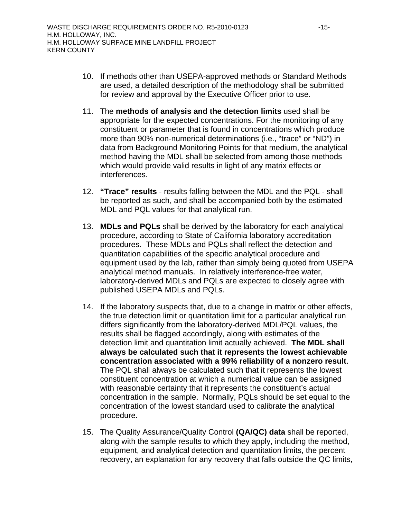- 10. If methods other than USEPA-approved methods or Standard Methods are used, a detailed description of the methodology shall be submitted for review and approval by the Executive Officer prior to use.
- 11. The **methods of analysis and the detection limits** used shall be appropriate for the expected concentrations. For the monitoring of any constituent or parameter that is found in concentrations which produce more than 90% non-numerical determinations (i.e., "trace" or "ND") in data from Background Monitoring Points for that medium, the analytical method having the MDL shall be selected from among those methods which would provide valid results in light of any matrix effects or interferences.
- 12. **"Trace" results** results falling between the MDL and the PQL shall be reported as such, and shall be accompanied both by the estimated MDL and PQL values for that analytical run.
- 13. **MDLs and PQLs** shall be derived by the laboratory for each analytical procedure, according to State of California laboratory accreditation procedures. These MDLs and PQLs shall reflect the detection and quantitation capabilities of the specific analytical procedure and equipment used by the lab, rather than simply being quoted from USEPA analytical method manuals. In relatively interference-free water, laboratory-derived MDLs and PQLs are expected to closely agree with published USEPA MDLs and PQLs.
- 14. If the laboratory suspects that, due to a change in matrix or other effects, the true detection limit or quantitation limit for a particular analytical run differs significantly from the laboratory-derived MDL/PQL values, the results shall be flagged accordingly, along with estimates of the detection limit and quantitation limit actually achieved. **The MDL shall always be calculated such that it represents the lowest achievable concentration associated with a 99% reliability of a nonzero result**. The PQL shall always be calculated such that it represents the lowest constituent concentration at which a numerical value can be assigned with reasonable certainty that it represents the constituent's actual concentration in the sample. Normally, PQLs should be set equal to the concentration of the lowest standard used to calibrate the analytical procedure.
- 15. The Quality Assurance/Quality Control **(QA/QC) data** shall be reported, along with the sample results to which they apply, including the method, equipment, and analytical detection and quantitation limits, the percent recovery, an explanation for any recovery that falls outside the QC limits,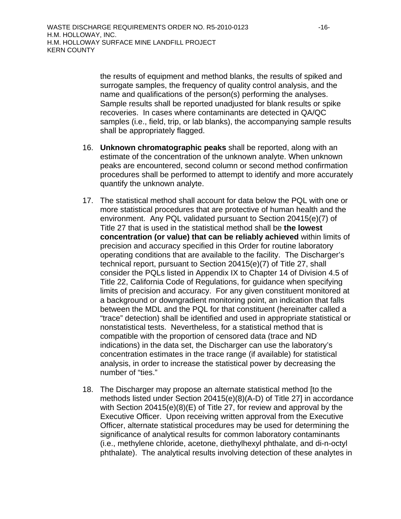the results of equipment and method blanks, the results of spiked and surrogate samples, the frequency of quality control analysis, and the name and qualifications of the person(s) performing the analyses. Sample results shall be reported unadjusted for blank results or spike recoveries. In cases where contaminants are detected in QA/QC samples (i.e., field, trip, or lab blanks), the accompanying sample results shall be appropriately flagged.

- 16. **Unknown chromatographic peaks** shall be reported, along with an estimate of the concentration of the unknown analyte. When unknown peaks are encountered, second column or second method confirmation procedures shall be performed to attempt to identify and more accurately quantify the unknown analyte.
- 17. The statistical method shall account for data below the PQL with one or more statistical procedures that are protective of human health and the environment. Any PQL validated pursuant to Section 20415(e)(7) of Title 27 that is used in the statistical method shall be **the lowest concentration (or value) that can be reliably achieved** within limits of precision and accuracy specified in this Order for routine laboratory operating conditions that are available to the facility. The Discharger's technical report, pursuant to Section 20415(e)(7) of Title 27, shall consider the PQLs listed in Appendix IX to Chapter 14 of Division 4.5 of Title 22, California Code of Regulations, for guidance when specifying limits of precision and accuracy. For any given constituent monitored at a background or downgradient monitoring point, an indication that falls between the MDL and the PQL for that constituent (hereinafter called a "trace" detection) shall be identified and used in appropriate statistical or nonstatistical tests. Nevertheless, for a statistical method that is compatible with the proportion of censored data (trace and ND indications) in the data set, the Discharger can use the laboratory's concentration estimates in the trace range (if available) for statistical analysis, in order to increase the statistical power by decreasing the number of "ties."
- 18. The Discharger may propose an alternate statistical method [to the methods listed under Section 20415(e)(8)(A-D) of Title 27] in accordance with Section 20415(e)(8)(E) of Title 27, for review and approval by the Executive Officer. Upon receiving written approval from the Executive Officer, alternate statistical procedures may be used for determining the significance of analytical results for common laboratory contaminants (i.e., methylene chloride, acetone, diethylhexyl phthalate, and di-n-octyl phthalate). The analytical results involving detection of these analytes in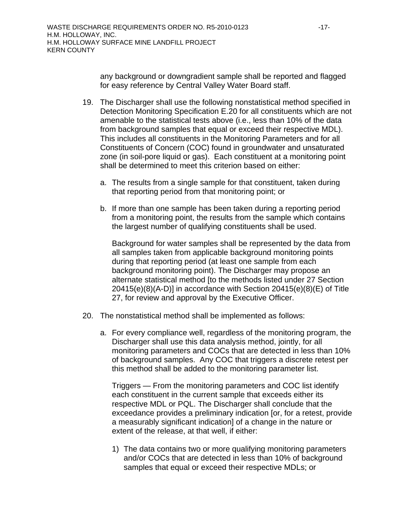any background or downgradient sample shall be reported and flagged for easy reference by Central Valley Water Board staff.

- 19. The Discharger shall use the following nonstatistical method specified in Detection Monitoring Specification E.20 for all constituents which are not amenable to the statistical tests above (i.e., less than 10% of the data from background samples that equal or exceed their respective MDL). This includes all constituents in the Monitoring Parameters and for all Constituents of Concern (COC) found in groundwater and unsaturated zone (in soil-pore liquid or gas). Each constituent at a monitoring point shall be determined to meet this criterion based on either:
	- a. The results from a single sample for that constituent, taken during that reporting period from that monitoring point; or
	- b. If more than one sample has been taken during a reporting period from a monitoring point, the results from the sample which contains the largest number of qualifying constituents shall be used.

Background for water samples shall be represented by the data from all samples taken from applicable background monitoring points during that reporting period (at least one sample from each background monitoring point). The Discharger may propose an alternate statistical method [to the methods listed under 27 Section 20415(e)(8)(A-D)] in accordance with Section 20415(e)(8)(E) of Title 27, for review and approval by the Executive Officer.

- 20. The nonstatistical method shall be implemented as follows:
	- a. For every compliance well, regardless of the monitoring program, the Discharger shall use this data analysis method, jointly, for all monitoring parameters and COCs that are detected in less than 10% of background samples. Any COC that triggers a discrete retest per this method shall be added to the monitoring parameter list.

Triggers — From the monitoring parameters and COC list identify each constituent in the current sample that exceeds either its respective MDL or PQL. The Discharger shall conclude that the exceedance provides a preliminary indication [or, for a retest, provide a measurably significant indication] of a change in the nature or extent of the release, at that well, if either:

1) The data contains two or more qualifying monitoring parameters and/or COCs that are detected in less than 10% of background samples that equal or exceed their respective MDLs; or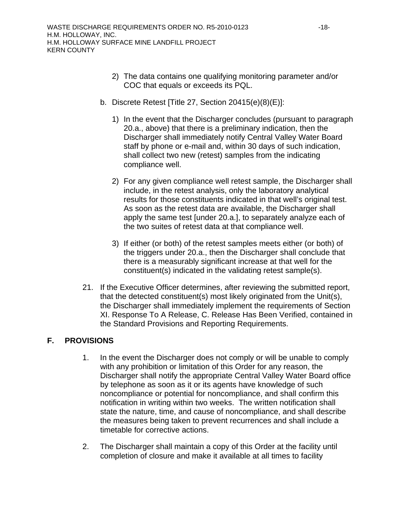- 2) The data contains one qualifying monitoring parameter and/or COC that equals or exceeds its PQL.
- b. Discrete Retest [Title 27, Section 20415(e)(8)(E)]:
	- 1) In the event that the Discharger concludes (pursuant to paragraph 20.a., above) that there is a preliminary indication, then the Discharger shall immediately notify Central Valley Water Board staff by phone or e-mail and, within 30 days of such indication, shall collect two new (retest) samples from the indicating compliance well.
	- 2) For any given compliance well retest sample, the Discharger shall include, in the retest analysis, only the laboratory analytical results for those constituents indicated in that well's original test. As soon as the retest data are available, the Discharger shall apply the same test [under 20.a.], to separately analyze each of the two suites of retest data at that compliance well.
	- 3) If either (or both) of the retest samples meets either (or both) of the triggers under 20.a., then the Discharger shall conclude that there is a measurably significant increase at that well for the constituent(s) indicated in the validating retest sample(s).
- 21. If the Executive Officer determines, after reviewing the submitted report, that the detected constituent(s) most likely originated from the Unit(s), the Discharger shall immediately implement the requirements of Section XI. Response To A Release, C. Release Has Been Verified, contained in the Standard Provisions and Reporting Requirements.

# **F. PROVISIONS**

- 1. In the event the Discharger does not comply or will be unable to comply with any prohibition or limitation of this Order for any reason, the Discharger shall notify the appropriate Central Valley Water Board office by telephone as soon as it or its agents have knowledge of such noncompliance or potential for noncompliance, and shall confirm this notification in writing within two weeks. The written notification shall state the nature, time, and cause of noncompliance, and shall describe the measures being taken to prevent recurrences and shall include a timetable for corrective actions.
- 2. The Discharger shall maintain a copy of this Order at the facility until completion of closure and make it available at all times to facility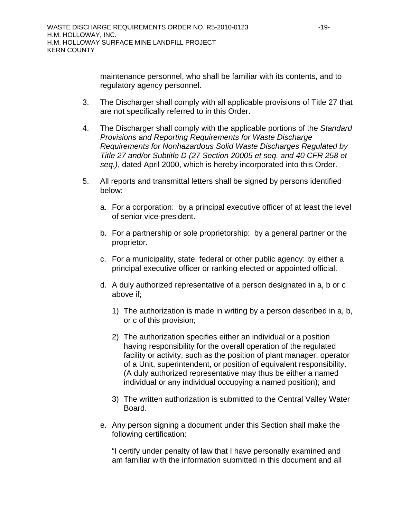maintenance personnel, who shall be familiar with its contents, and to regulatory agency personnel.

- 3. The Discharger shall comply with all applicable provisions of Title 27 that are not specifically referred to in this Order.
- 4. The Discharger shall comply with the applicable portions of the *Standard Provisions and Reporting Requirements for Waste Discharge Requirements for Nonhazardous Solid Waste Discharges Regulated by Title 27 and/or Subtitle D (27 Section 20005 et seq. and 40 CFR 258 et seq.)*, dated April 2000, which is hereby incorporated into this Order.
- 5. All reports and transmittal letters shall be signed by persons identified below:
	- a. For a corporation: by a principal executive officer of at least the level of senior vice-president.
	- b. For a partnership or sole proprietorship: by a general partner or the proprietor.
	- c. For a municipality, state, federal or other public agency: by either a principal executive officer or ranking elected or appointed official.
	- d. A duly authorized representative of a person designated in a, b or c above if;
		- 1) The authorization is made in writing by a person described in a, b, or c of this provision;
		- 2) The authorization specifies either an individual or a position having responsibility for the overall operation of the regulated facility or activity, such as the position of plant manager, operator of a Unit, superintendent, or position of equivalent responsibility. (A duly authorized representative may thus be either a named individual or any individual occupying a named position); and
		- 3) The written authorization is submitted to the Central Valley Water Board.
	- e. Any person signing a document under this Section shall make the following certification:

"I certify under penalty of law that I have personally examined and am familiar with the information submitted in this document and all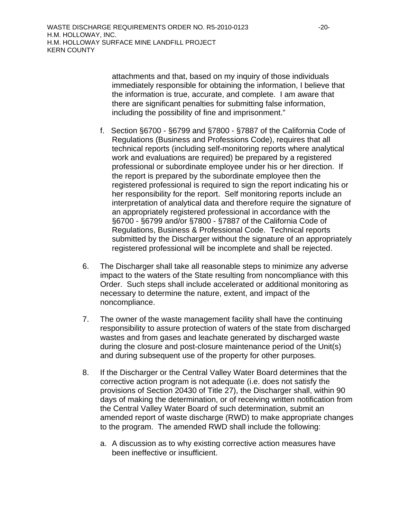attachments and that, based on my inquiry of those individuals immediately responsible for obtaining the information, I believe that the information is true, accurate, and complete. I am aware that there are significant penalties for submitting false information, including the possibility of fine and imprisonment."

- f. Section §6700 §6799 and §7800 §7887 of the California Code of Regulations (Business and Professions Code), requires that all technical reports (including self-monitoring reports where analytical work and evaluations are required) be prepared by a registered professional or subordinate employee under his or her direction. If the report is prepared by the subordinate employee then the registered professional is required to sign the report indicating his or her responsibility for the report. Self monitoring reports include an interpretation of analytical data and therefore require the signature of an appropriately registered professional in accordance with the §6700 - §6799 and/or §7800 - §7887 of the California Code of Regulations, Business & Professional Code. Technical reports submitted by the Discharger without the signature of an appropriately registered professional will be incomplete and shall be rejected.
- 6. The Discharger shall take all reasonable steps to minimize any adverse impact to the waters of the State resulting from noncompliance with this Order. Such steps shall include accelerated or additional monitoring as necessary to determine the nature, extent, and impact of the noncompliance.
- 7. The owner of the waste management facility shall have the continuing responsibility to assure protection of waters of the state from discharged wastes and from gases and leachate generated by discharged waste during the closure and post-closure maintenance period of the Unit(s) and during subsequent use of the property for other purposes.
- 8. If the Discharger or the Central Valley Water Board determines that the corrective action program is not adequate (i.e. does not satisfy the provisions of Section 20430 of Title 27), the Discharger shall, within 90 days of making the determination, or of receiving written notification from the Central Valley Water Board of such determination, submit an amended report of waste discharge (RWD) to make appropriate changes to the program. The amended RWD shall include the following:
	- a. A discussion as to why existing corrective action measures have been ineffective or insufficient.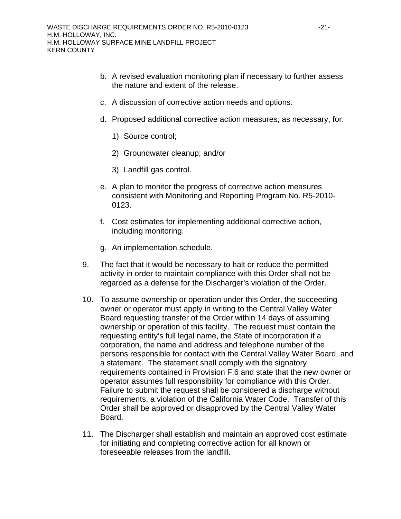- b. A revised evaluation monitoring plan if necessary to further assess the nature and extent of the release.
- c. A discussion of corrective action needs and options.
- d. Proposed additional corrective action measures, as necessary, for:
	- 1) Source control;
	- 2) Groundwater cleanup; and/or
	- 3) Landfill gas control.
- e. A plan to monitor the progress of corrective action measures consistent with Monitoring and Reporting Program No. R5-2010- 0123.
- f. Cost estimates for implementing additional corrective action, including monitoring.
- g. An implementation schedule.
- 9. The fact that it would be necessary to halt or reduce the permitted activity in order to maintain compliance with this Order shall not be regarded as a defense for the Discharger's violation of the Order.
- 10. To assume ownership or operation under this Order, the succeeding owner or operator must apply in writing to the Central Valley Water Board requesting transfer of the Order within 14 days of assuming ownership or operation of this facility. The request must contain the requesting entity's full legal name, the State of incorporation if a corporation, the name and address and telephone number of the persons responsible for contact with the Central Valley Water Board, and a statement. The statement shall comply with the signatory requirements contained in Provision F.6 and state that the new owner or operator assumes full responsibility for compliance with this Order. Failure to submit the request shall be considered a discharge without requirements, a violation of the California Water Code. Transfer of this Order shall be approved or disapproved by the Central Valley Water Board.
- 11. The Discharger shall establish and maintain an approved cost estimate for initiating and completing corrective action for all known or foreseeable releases from the landfill.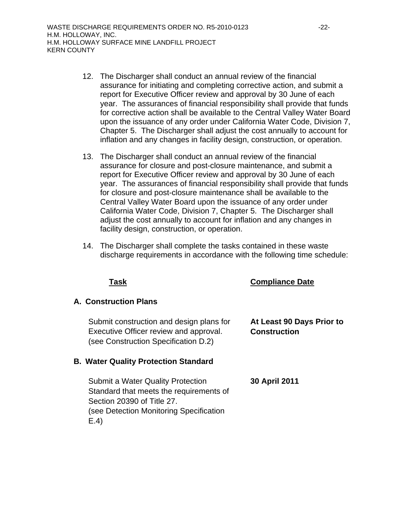- 12. The Discharger shall conduct an annual review of the financial assurance for initiating and completing corrective action, and submit a report for Executive Officer review and approval by 30 June of each year. The assurances of financial responsibility shall provide that funds for corrective action shall be available to the Central Valley Water Board upon the issuance of any order under California Water Code, Division 7, Chapter 5. The Discharger shall adjust the cost annually to account for inflation and any changes in facility design, construction, or operation.
- 13. The Discharger shall conduct an annual review of the financial assurance for closure and post-closure maintenance, and submit a report for Executive Officer review and approval by 30 June of each year. The assurances of financial responsibility shall provide that funds for closure and post-closure maintenance shall be available to the Central Valley Water Board upon the issuance of any order under California Water Code, Division 7, Chapter 5. The Discharger shall adjust the cost annually to account for inflation and any changes in facility design, construction, or operation.
- 14. The Discharger shall complete the tasks contained in these waste discharge requirements in accordance with the following time schedule:

**Task Compliance Date**

| <b>A. Construction Plans</b>                                                       |                                                  |
|------------------------------------------------------------------------------------|--------------------------------------------------|
| Submit construction and design plans for<br>Executive Officer review and approval. | At Least 90 Days Prior to<br><b>Construction</b> |

## **B. Water Quality Protection Standard**

(see Construction Specification D.2)

Submit a Water Quality Protection Standard that meets the requirements of Section 20390 of Title 27. (see Detection Monitoring Specification E.4) **30 April 2011**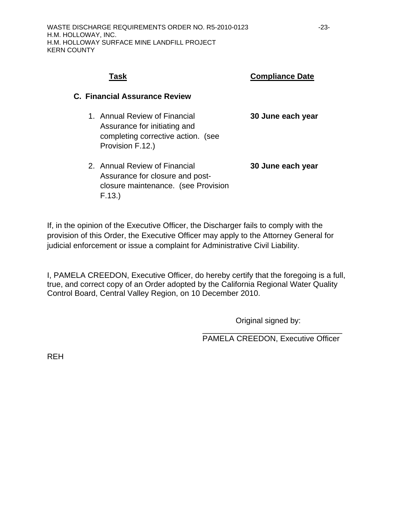# **Task Compliance Date**

### **C. Financial Assurance Review**

- 1. Annual Review of Financial Assurance for initiating and completing corrective action. (see Provision F.12.) **30 June each year**
- 2. Annual Review of Financial Assurance for closure and postclosure maintenance. (see Provision F.13.) **30 June each year**

If, in the opinion of the Executive Officer, the Discharger fails to comply with the provision of this Order, the Executive Officer may apply to the Attorney General for judicial enforcement or issue a complaint for Administrative Civil Liability.

I, PAMELA CREEDON, Executive Officer, do hereby certify that the foregoing is a full, true, and correct copy of an Order adopted by the California Regional Water Quality Control Board, Central Valley Region, on 10 December 2010.

 $\overline{\phantom{a}}$  , and the contract of the contract of the contract of the contract of the contract of the contract of the contract of the contract of the contract of the contract of the contract of the contract of the contrac

Original signed by:

PAMELA CREEDON, Executive Officer

REH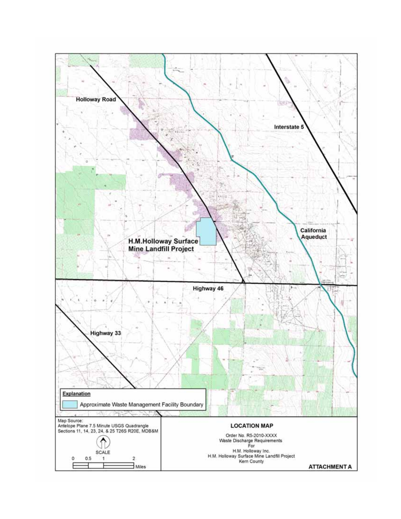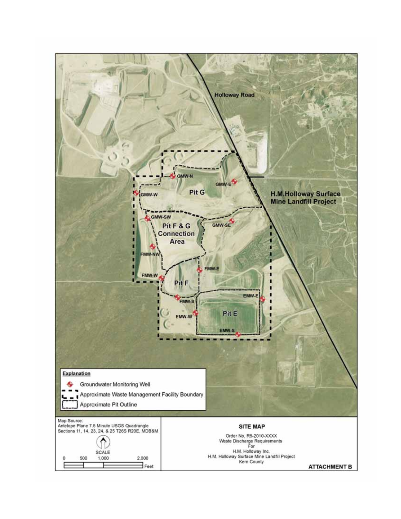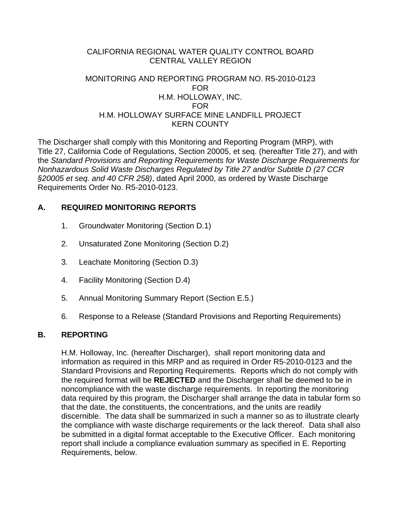## CALIFORNIA REGIONAL WATER QUALITY CONTROL BOARD CENTRAL VALLEY REGION

## MONITORING AND REPORTING PROGRAM NO. R5-2010-0123 FOR H.M. HOLLOWAY, INC. FOR H.M. HOLLOWAY SURFACE MINE LANDFILL PROJECT KERN COUNTY

The Discharger shall comply with this Monitoring and Reporting Program (MRP), with Title 27, California Code of Regulations, Section 20005, et seq. (hereafter Title 27), and with the *Standard Provisions and Reporting Requirements for Waste Discharge Requirements for Nonhazardous Solid Waste Discharges Regulated by Title 27 and/or Subtitle D (27 CCR §20005 et seq. and 40 CFR 258)*, dated April 2000, as ordered by Waste Discharge Requirements Order No. R5-2010-0123.

# **A. REQUIRED MONITORING REPORTS**

- 1. Groundwater Monitoring (Section D.1)
- 2. Unsaturated Zone Monitoring (Section D.2)
- 3. Leachate Monitoring (Section D.3)
- 4. Facility Monitoring (Section D.4)
- 5. Annual Monitoring Summary Report (Section E.5.)
- 6. Response to a Release (Standard Provisions and Reporting Requirements)

## **B. REPORTING**

 H.M. Holloway, Inc. (hereafter Discharger), shall report monitoring data and information as required in this MRP and as required in Order R5-2010-0123 and the Standard Provisions and Reporting Requirements. Reports which do not comply with the required format will be **REJECTED** and the Discharger shall be deemed to be in noncompliance with the waste discharge requirements. In reporting the monitoring data required by this program, the Discharger shall arrange the data in tabular form so that the date, the constituents, the concentrations, and the units are readily discernible. The data shall be summarized in such a manner so as to illustrate clearly the compliance with waste discharge requirements or the lack thereof. Data shall also be submitted in a digital format acceptable to the Executive Officer. Each monitoring report shall include a compliance evaluation summary as specified in E. Reporting Requirements, below.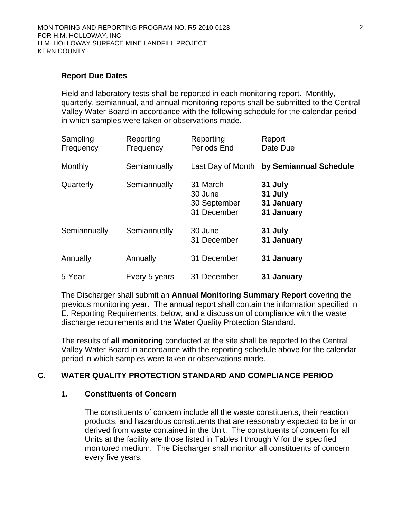### **Report Due Dates**

 Field and laboratory tests shall be reported in each monitoring report. Monthly, quarterly, semiannual, and annual monitoring reports shall be submitted to the Central Valley Water Board in accordance with the following schedule for the calendar period in which samples were taken or observations made.

| Sampling<br><b>Frequency</b> | Reporting<br><b>Frequency</b> | Reporting<br>Periods End                           | Report<br>Date Due                             |
|------------------------------|-------------------------------|----------------------------------------------------|------------------------------------------------|
| Monthly                      | Semiannually                  | Last Day of Month                                  | by Semiannual Schedule                         |
| Quarterly                    | Semiannually                  | 31 March<br>30 June<br>30 September<br>31 December | 31 July<br>31 July<br>31 January<br>31 January |
| Semiannually                 | Semiannually                  | 30 June<br>31 December                             | 31 July<br>31 January                          |
| Annually                     | Annually                      | 31 December                                        | 31 January                                     |
| 5-Year                       | Every 5 years                 | 31 December                                        | 31 January                                     |

 The Discharger shall submit an **Annual Monitoring Summary Report** covering the previous monitoring year. The annual report shall contain the information specified in E. Reporting Requirements, below, and a discussion of compliance with the waste discharge requirements and the Water Quality Protection Standard.

 The results of **all monitoring** conducted at the site shall be reported to the Central Valley Water Board in accordance with the reporting schedule above for the calendar period in which samples were taken or observations made.

## **C. WATER QUALITY PROTECTION STANDARD AND COMPLIANCE PERIOD**

### **1. Constituents of Concern**

 The constituents of concern include all the waste constituents, their reaction products, and hazardous constituents that are reasonably expected to be in or derived from waste contained in the Unit. The constituents of concern for all Units at the facility are those listed in Tables I through V for the specified monitored medium. The Discharger shall monitor all constituents of concern every five years.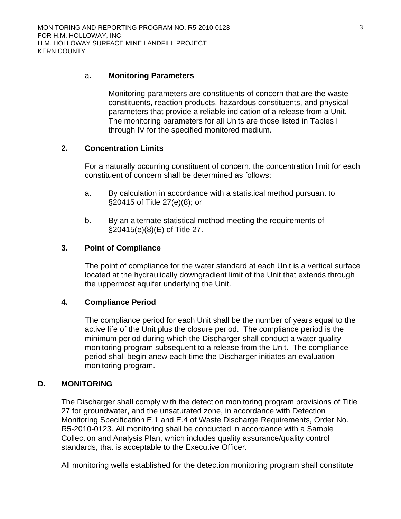### a**. Monitoring Parameters**

 Monitoring parameters are constituents of concern that are the waste constituents, reaction products, hazardous constituents, and physical parameters that provide a reliable indication of a release from a Unit. The monitoring parameters for all Units are those listed in Tables I through IV for the specified monitored medium.

### **2. Concentration Limits**

 For a naturally occurring constituent of concern, the concentration limit for each constituent of concern shall be determined as follows:

- a. By calculation in accordance with a statistical method pursuant to §20415 of Title 27(e)(8); or
- b. By an alternate statistical method meeting the requirements of §20415(e)(8)(E) of Title 27.

### **3. Point of Compliance**

 The point of compliance for the water standard at each Unit is a vertical surface located at the hydraulically downgradient limit of the Unit that extends through the uppermost aquifer underlying the Unit.

## **4. Compliance Period**

 The compliance period for each Unit shall be the number of years equal to the active life of the Unit plus the closure period. The compliance period is the minimum period during which the Discharger shall conduct a water quality monitoring program subsequent to a release from the Unit. The compliance period shall begin anew each time the Discharger initiates an evaluation monitoring program.

### **D. MONITORING**

The Discharger shall comply with the detection monitoring program provisions of Title 27 for groundwater, and the unsaturated zone, in accordance with Detection Monitoring Specification E.1 and E.4 of Waste Discharge Requirements, Order No. R5-2010-0123. All monitoring shall be conducted in accordance with a Sample Collection and Analysis Plan, which includes quality assurance/quality control standards, that is acceptable to the Executive Officer.

All monitoring wells established for the detection monitoring program shall constitute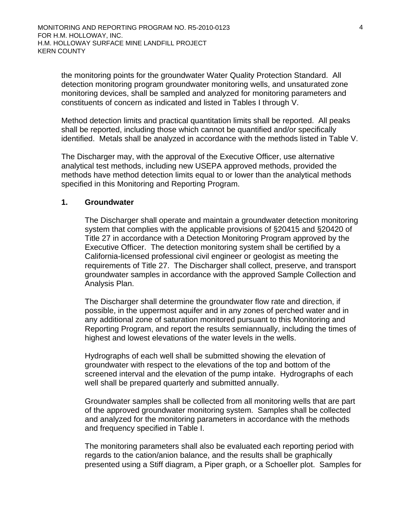the monitoring points for the groundwater Water Quality Protection Standard. All detection monitoring program groundwater monitoring wells, and unsaturated zone monitoring devices, shall be sampled and analyzed for monitoring parameters and constituents of concern as indicated and listed in Tables I through V.

Method detection limits and practical quantitation limits shall be reported. All peaks shall be reported, including those which cannot be quantified and/or specifically identified. Metals shall be analyzed in accordance with the methods listed in Table V.

The Discharger may, with the approval of the Executive Officer, use alternative analytical test methods, including new USEPA approved methods, provided the methods have method detection limits equal to or lower than the analytical methods specified in this Monitoring and Reporting Program.

### **1. Groundwater**

The Discharger shall operate and maintain a groundwater detection monitoring system that complies with the applicable provisions of §20415 and §20420 of Title 27 in accordance with a Detection Monitoring Program approved by the Executive Officer. The detection monitoring system shall be certified by a California-licensed professional civil engineer or geologist as meeting the requirements of Title 27. The Discharger shall collect, preserve, and transport groundwater samples in accordance with the approved Sample Collection and Analysis Plan.

The Discharger shall determine the groundwater flow rate and direction, if possible, in the uppermost aquifer and in any zones of perched water and in any additional zone of saturation monitored pursuant to this Monitoring and Reporting Program, and report the results semiannually, including the times of highest and lowest elevations of the water levels in the wells.

Hydrographs of each well shall be submitted showing the elevation of groundwater with respect to the elevations of the top and bottom of the screened interval and the elevation of the pump intake. Hydrographs of each well shall be prepared quarterly and submitted annually.

Groundwater samples shall be collected from all monitoring wells that are part of the approved groundwater monitoring system. Samples shall be collected and analyzed for the monitoring parameters in accordance with the methods and frequency specified in Table I.

The monitoring parameters shall also be evaluated each reporting period with regards to the cation/anion balance, and the results shall be graphically presented using a Stiff diagram, a Piper graph, or a Schoeller plot. Samples for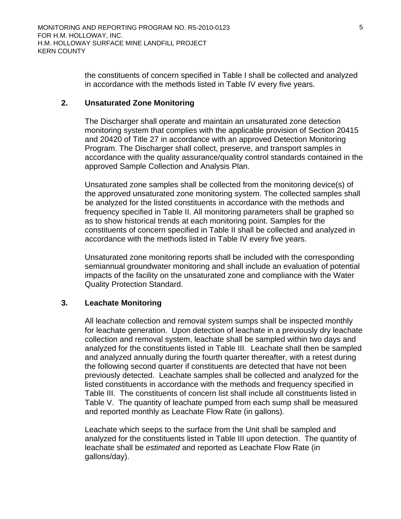the constituents of concern specified in Table I shall be collected and analyzed in accordance with the methods listed in Table IV every five years.

### **2. Unsaturated Zone Monitoring**

The Discharger shall operate and maintain an unsaturated zone detection monitoring system that complies with the applicable provision of Section 20415 and 20420 of Title 27 in accordance with an approved Detection Monitoring Program. The Discharger shall collect, preserve, and transport samples in accordance with the quality assurance/quality control standards contained in the approved Sample Collection and Analysis Plan.

Unsaturated zone samples shall be collected from the monitoring device(s) of the approved unsaturated zone monitoring system. The collected samples shall be analyzed for the listed constituents in accordance with the methods and frequency specified in Table II. All monitoring parameters shall be graphed so as to show historical trends at each monitoring point. Samples for the constituents of concern specified in Table II shall be collected and analyzed in accordance with the methods listed in Table IV every five years.

Unsaturated zone monitoring reports shall be included with the corresponding semiannual groundwater monitoring and shall include an evaluation of potential impacts of the facility on the unsaturated zone and compliance with the Water Quality Protection Standard.

## **3. Leachate Monitoring**

All leachate collection and removal system sumps shall be inspected monthly for leachate generation. Upon detection of leachate in a previously dry leachate collection and removal system, leachate shall be sampled within two days and analyzed for the constituents listed in Table III. Leachate shall then be sampled and analyzed annually during the fourth quarter thereafter, with a retest during the following second quarter if constituents are detected that have not been previously detected. Leachate samples shall be collected and analyzed for the listed constituents in accordance with the methods and frequency specified in Table III. The constituents of concern list shall include all constituents listed in Table V. The quantity of leachate pumped from each sump shall be measured and reported monthly as Leachate Flow Rate (in gallons).

Leachate which seeps to the surface from the Unit shall be sampled and analyzed for the constituents listed in Table III upon detection. The quantity of leachate shall be *estimated* and reported as Leachate Flow Rate (in gallons/day).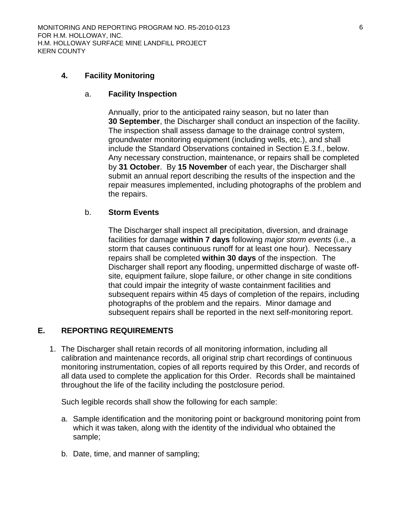## **4. Facility Monitoring**

### a. **Facility Inspection**

Annually, prior to the anticipated rainy season, but no later than **30 September**, the Discharger shall conduct an inspection of the facility. The inspection shall assess damage to the drainage control system, groundwater monitoring equipment (including wells, etc.), and shall include the Standard Observations contained in Section E.3.f., below. Any necessary construction, maintenance, or repairs shall be completed by **31 October**. By **15 November** of each year, the Discharger shall submit an annual report describing the results of the inspection and the repair measures implemented, including photographs of the problem and the repairs.

## b. **Storm Events**

The Discharger shall inspect all precipitation, diversion, and drainage facilities for damage **within 7 days** following *major storm events* (i.e., a storm that causes continuous runoff for at least one hour). Necessary repairs shall be completed **within 30 days** of the inspection. The Discharger shall report any flooding, unpermitted discharge of waste offsite, equipment failure, slope failure, or other change in site conditions that could impair the integrity of waste containment facilities and subsequent repairs within 45 days of completion of the repairs, including photographs of the problem and the repairs. Minor damage and subsequent repairs shall be reported in the next self-monitoring report.

## **E. REPORTING REQUIREMENTS**

1. The Discharger shall retain records of all monitoring information, including all calibration and maintenance records, all original strip chart recordings of continuous monitoring instrumentation, copies of all reports required by this Order, and records of all data used to complete the application for this Order. Records shall be maintained throughout the life of the facility including the postclosure period.

Such legible records shall show the following for each sample:

- a. Sample identification and the monitoring point or background monitoring point from which it was taken, along with the identity of the individual who obtained the sample;
- b. Date, time, and manner of sampling;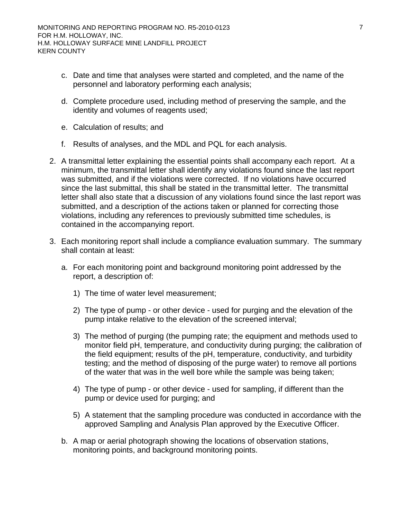- c. Date and time that analyses were started and completed, and the name of the personnel and laboratory performing each analysis;
- d. Complete procedure used, including method of preserving the sample, and the identity and volumes of reagents used;
- e. Calculation of results; and
- f. Results of analyses, and the MDL and PQL for each analysis.
- 2. A transmittal letter explaining the essential points shall accompany each report. At a minimum, the transmittal letter shall identify any violations found since the last report was submitted, and if the violations were corrected. If no violations have occurred since the last submittal, this shall be stated in the transmittal letter. The transmittal letter shall also state that a discussion of any violations found since the last report was submitted, and a description of the actions taken or planned for correcting those violations, including any references to previously submitted time schedules, is contained in the accompanying report.
- 3. Each monitoring report shall include a compliance evaluation summary. The summary shall contain at least:
	- a. For each monitoring point and background monitoring point addressed by the report, a description of:
		- 1) The time of water level measurement;
		- 2) The type of pump or other device used for purging and the elevation of the pump intake relative to the elevation of the screened interval;
		- 3) The method of purging (the pumping rate; the equipment and methods used to monitor field pH, temperature, and conductivity during purging; the calibration of the field equipment; results of the pH, temperature, conductivity, and turbidity testing; and the method of disposing of the purge water) to remove all portions of the water that was in the well bore while the sample was being taken;
		- 4) The type of pump or other device used for sampling, if different than the pump or device used for purging; and
		- 5) A statement that the sampling procedure was conducted in accordance with the approved Sampling and Analysis Plan approved by the Executive Officer.
	- b. A map or aerial photograph showing the locations of observation stations, monitoring points, and background monitoring points.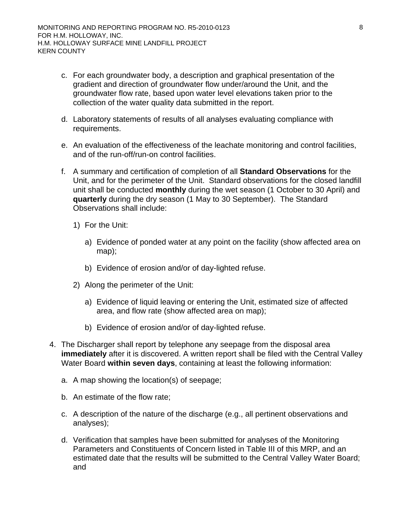- c. For each groundwater body, a description and graphical presentation of the gradient and direction of groundwater flow under/around the Unit, and the groundwater flow rate, based upon water level elevations taken prior to the collection of the water quality data submitted in the report.
- d. Laboratory statements of results of all analyses evaluating compliance with requirements.
- e. An evaluation of the effectiveness of the leachate monitoring and control facilities, and of the run-off/run-on control facilities.
- f. A summary and certification of completion of all **Standard Observations** for the Unit, and for the perimeter of the Unit. Standard observations for the closed landfill unit shall be conducted **monthly** during the wet season (1 October to 30 April) and **quarterly** during the dry season (1 May to 30 September). The Standard Observations shall include:
	- 1) For the Unit:
		- a) Evidence of ponded water at any point on the facility (show affected area on map);
		- b) Evidence of erosion and/or of day-lighted refuse.
	- 2) Along the perimeter of the Unit:
		- a) Evidence of liquid leaving or entering the Unit, estimated size of affected area, and flow rate (show affected area on map);
		- b) Evidence of erosion and/or of day-lighted refuse.
- 4. The Discharger shall report by telephone any seepage from the disposal area **immediately** after it is discovered. A written report shall be filed with the Central Valley Water Board **within seven days**, containing at least the following information:
	- a. A map showing the location(s) of seepage;
	- b. An estimate of the flow rate;
	- c. A description of the nature of the discharge (e.g., all pertinent observations and analyses);
	- d. Verification that samples have been submitted for analyses of the Monitoring Parameters and Constituents of Concern listed in Table III of this MRP, and an estimated date that the results will be submitted to the Central Valley Water Board; and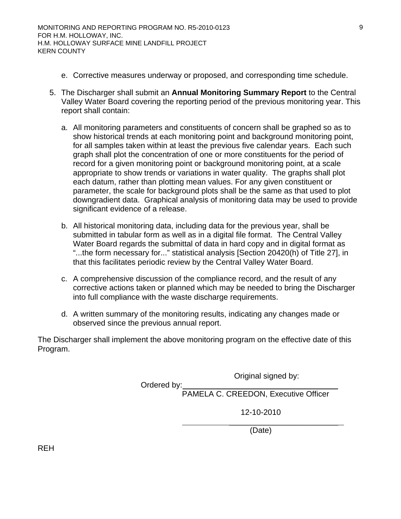- e. Corrective measures underway or proposed, and corresponding time schedule.
- 5. The Discharger shall submit an **Annual Monitoring Summary Report** to the Central Valley Water Board covering the reporting period of the previous monitoring year. This report shall contain:
	- a. All monitoring parameters and constituents of concern shall be graphed so as to show historical trends at each monitoring point and background monitoring point, for all samples taken within at least the previous five calendar years. Each such graph shall plot the concentration of one or more constituents for the period of record for a given monitoring point or background monitoring point, at a scale appropriate to show trends or variations in water quality. The graphs shall plot each datum, rather than plotting mean values. For any given constituent or parameter, the scale for background plots shall be the same as that used to plot downgradient data. Graphical analysis of monitoring data may be used to provide significant evidence of a release.
	- b. All historical monitoring data, including data for the previous year, shall be submitted in tabular form as well as in a digital file format. The Central Valley Water Board regards the submittal of data in hard copy and in digital format as "...the form necessary for..." statistical analysis [Section 20420(h) of Title 27], in that this facilitates periodic review by the Central Valley Water Board.
	- c. A comprehensive discussion of the compliance record, and the result of any corrective actions taken or planned which may be needed to bring the Discharger into full compliance with the waste discharge requirements.
	- d. A written summary of the monitoring results, indicating any changes made or observed since the previous annual report.

The Discharger shall implement the above monitoring program on the effective date of this Program.

Original signed by:

 Ordered by: PAMELA C. CREEDON, Executive Officer

12-10-2010

 $\frac{1}{\sqrt{2}}$  , and the contract of  $\frac{1}{\sqrt{2}}$  , and the contract of  $\frac{1}{\sqrt{2}}$  , and  $\frac{1}{\sqrt{2}}$ (Date)

REH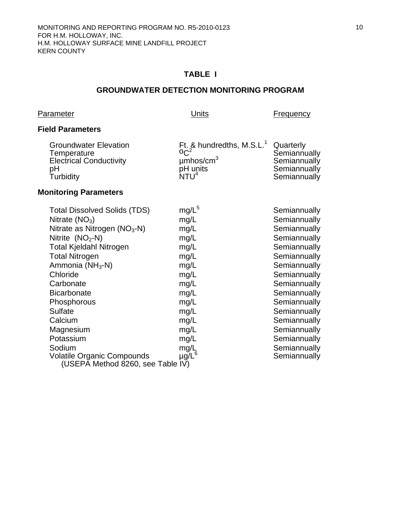## **TABLE I**

### **GROUNDWATER DETECTION MONITORING PROGRAM**

### Parameter **Parameter Parameter Example 2018**

## **Field Parameters**

| <b>Groundwater Elevation</b><br>Temperature<br><b>Electrical Conductivity</b><br>pH<br>Turbidity | Ft. & hundredths, M.S.L. <sup>1</sup> Quarterly<br>$\mu$ mhos/cm <sup>3</sup><br>pH units<br>NTU <sup>4</sup> | Semiannually<br>Semiannually<br>Semiannually<br>Semiannually |
|--------------------------------------------------------------------------------------------------|---------------------------------------------------------------------------------------------------------------|--------------------------------------------------------------|
|                                                                                                  |                                                                                                               |                                                              |

# **Monitoring Parameters**

| $mg/L^5$<br>mg/L<br>mg/L<br>mg/L<br>mg/L<br>mg/L<br>mg/L<br>mg/L<br>mg/L<br>mg/L<br>mg/L<br>mg/L<br>mg/L<br>mg/L<br>mg/L | Semiannually<br>Semiannually<br>Semiannually<br>Semiannually<br>Semiannually<br>Semiannually<br>Semiannually<br>Semiannually<br>Semiannually<br>Semiannually<br>Semiannually<br>Semiannually<br>Semiannually<br>Semiannually<br>Semiannually |
|--------------------------------------------------------------------------------------------------------------------------|----------------------------------------------------------------------------------------------------------------------------------------------------------------------------------------------------------------------------------------------|
| mg/L<br>$\mu$ g/L <sup>6</sup><br>(USEPĀ Method 8260, see Table IV)                                                      | Semiannually<br>Semiannually                                                                                                                                                                                                                 |
|                                                                                                                          |                                                                                                                                                                                                                                              |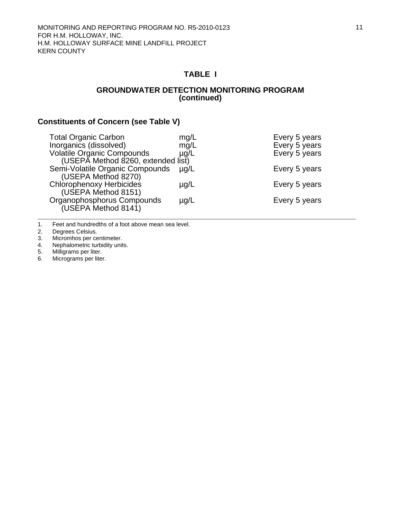# **TABLE I**

### **GROUNDWATER DETECTION MONITORING PROGRAM (continued)**

## **Constituents of Concern (see Table V)**

| <b>Total Organic Carbon</b>                                             | mg/L      | Every 5 years |
|-------------------------------------------------------------------------|-----------|---------------|
| Inorganics (dissolved)                                                  | mg/L      | Every 5 years |
| <b>Volatile Organic Compounds</b><br>(USEPA Method 8260, extended list) | $\mu$ g/L | Every 5 years |
| Semi-Volatile Organic Compounds<br>(USEPA Method 8270)                  | $\mu$ g/L | Every 5 years |
| <b>Chlorophenoxy Herbicides</b><br>(USEPA Method 8151)                  | $\mu$ g/L | Every 5 years |
| Organophosphorus Compounds<br>(USEPA Method 8141)                       | $\mu$ g/L | Every 5 years |

1. Feet and hundredths of a foot above mean sea level.<br>2. Degrees Celsius.

2. Degrees Celsius.<br>3. Micromhos per ce

3. Micromhos per centimeter.<br>4. Nephalometric turbidity unit 4. Nephalometric turbidity units.<br>5. Milligrams per liter.

5. Milligrams per liter.<br>6. Micrograms per liter Micrograms per liter.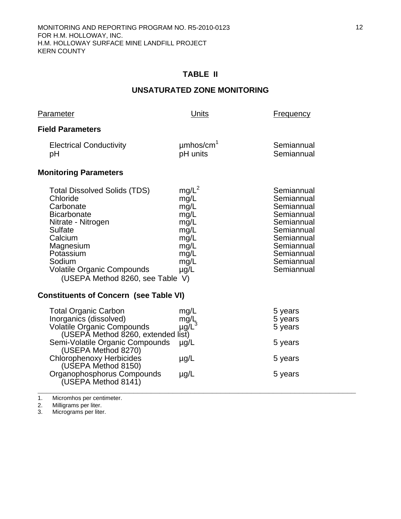# **TABLE II**

# **UNSATURATED ZONE MONITORING**

| Parameter                                                                                                                                                                                                                                                                                                 | Units                                                                                         | <u>Frequency</u>                                                                                                                                       |  |
|-----------------------------------------------------------------------------------------------------------------------------------------------------------------------------------------------------------------------------------------------------------------------------------------------------------|-----------------------------------------------------------------------------------------------|--------------------------------------------------------------------------------------------------------------------------------------------------------|--|
| <b>Field Parameters</b>                                                                                                                                                                                                                                                                                   |                                                                                               |                                                                                                                                                        |  |
| <b>Electrical Conductivity</b><br>рH                                                                                                                                                                                                                                                                      | $\mu$ mhos/cm <sup>1</sup><br>pH units                                                        | Semiannual<br>Semiannual                                                                                                                               |  |
| <b>Monitoring Parameters</b>                                                                                                                                                                                                                                                                              |                                                                                               |                                                                                                                                                        |  |
| <b>Total Dissolved Solids (TDS)</b><br>Chloride<br>Carbonate<br><b>Bicarbonate</b><br>Nitrate - Nitrogen<br><b>Sulfate</b><br>Calcium<br>Magnesium<br>Potassium<br>Sodium<br><b>Volatile Organic Compounds</b><br>(USEPA Method 8260, see Table V)                                                        | $mg/L^2$<br>mg/L<br>mg/L<br>mg/L<br>mg/L<br>mg/L<br>mg/L<br>mg/L<br>mg/L<br>mg/L<br>$\mu$ g/L | Semiannual<br>Semiannual<br>Semiannual<br>Semiannual<br>Semiannual<br>Semiannual<br>Semiannual<br>Semiannual<br>Semiannual<br>Semiannual<br>Semiannual |  |
| <b>Constituents of Concern (see Table VI)</b>                                                                                                                                                                                                                                                             |                                                                                               |                                                                                                                                                        |  |
| <b>Total Organic Carbon</b><br>Inorganics (dissolved)<br><b>Volatile Organic Compounds</b><br>(USEPA Method 8260, extended list)<br>Semi-Volatile Organic Compounds<br>(USEPA Method 8270)<br><b>Chlorophenoxy Herbicides</b><br>(USEPA Method 8150)<br>Organophosphorus Compounds<br>(USEPA Method 8141) | mg/L<br>$mg/L^3$<br>$\mu$ g/L<br>$\mu$ g/L<br>$\mu$ g/L                                       | 5 years<br>5 years<br>5 years<br>5 years<br>5 years<br>5 years                                                                                         |  |

1. Micromhos per centimeter.

2. Milligrams per liter.

3. Micrograms per liter.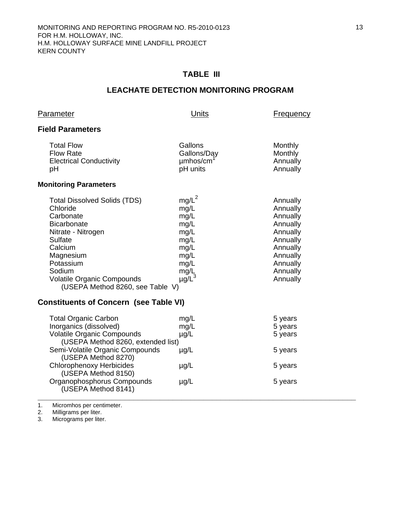# **TABLE III**

# **LEACHATE DETECTION MONITORING PROGRAM**

| <b>Parameter</b>                                                                                                                                                                                                                            | <b>Units</b>                                                                                  | Frequency                                                                                                                        |
|---------------------------------------------------------------------------------------------------------------------------------------------------------------------------------------------------------------------------------------------|-----------------------------------------------------------------------------------------------|----------------------------------------------------------------------------------------------------------------------------------|
| <b>Field Parameters</b>                                                                                                                                                                                                                     |                                                                                               |                                                                                                                                  |
| <b>Total Flow</b><br><b>Flow Rate</b><br><b>Electrical Conductivity</b><br>рH                                                                                                                                                               | Gallons<br>Gallons/Day<br>umhos/cm<br>pH units                                                | Monthly<br>Monthly<br>Annually<br>Annually                                                                                       |
| <b>Monitoring Parameters</b>                                                                                                                                                                                                                |                                                                                               |                                                                                                                                  |
| <b>Total Dissolved Solids (TDS)</b><br>Chloride<br>Carbonate<br><b>Bicarbonate</b><br>Nitrate - Nitrogen<br>Sulfate<br>Calcium<br>Magnesium<br>Potassium<br>Sodium<br><b>Volatile Organic Compounds</b><br>(USEPA Method 8260, see Table V) | $mg/L^2$<br>mg/L<br>mg/L<br>mg/L<br>mg/L<br>mg/L<br>mg/L<br>mg/L<br>mg/L<br>mg/L <sub>3</sub> | Annually<br>Annually<br>Annually<br>Annually<br>Annually<br>Annually<br>Annually<br>Annually<br>Annually<br>Annually<br>Annually |
| <b>Constituents of Concern (see Table VI)</b>                                                                                                                                                                                               |                                                                                               |                                                                                                                                  |
| <b>Total Organic Carbon</b><br>Inorganics (dissolved)<br><b>Volatile Organic Compounds</b><br>(USEPA Method 8260, extended list)<br>Semi-Volatile Organic Compounds<br>(USEPA Method 8270)                                                  | mg/L<br>mg/L<br>$\mu$ g/L<br>$\mu$ g/L                                                        | 5 years<br>5 years<br>5 years<br>5 years                                                                                         |
| Chlorophenoxy Herbicides                                                                                                                                                                                                                    | ua/l                                                                                          | 5 vears                                                                                                                          |

| <b>Total Organic Carbon</b>        | mg/L      | 5 years |
|------------------------------------|-----------|---------|
| Inorganics (dissolved)             | mg/L      | 5 years |
| <b>Volatile Organic Compounds</b>  | $\mu$ g/L | 5 years |
| (USEPA Method 8260, extended list) |           |         |
| Semi-Volatile Organic Compounds    | $\mu$ g/L | 5 years |
| (USEPA Method 8270)                |           |         |
| <b>Chlorophenoxy Herbicides</b>    | $\mu$ g/L | 5 years |
| (USEPA Method 8150)                |           |         |
| Organophosphorus Compounds         | $\mu$ g/L | 5 years |
| (USEPA Method 8141)                |           |         |
|                                    |           |         |

1. Micromhos per centimeter.

2. Milligrams per liter.

3. Micrograms per liter.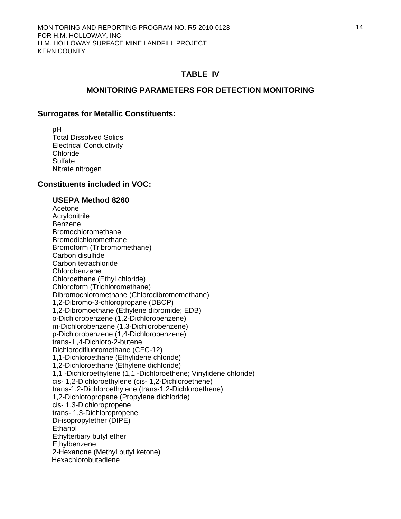### **MONITORING PARAMETERS FOR DETECTION MONITORING**

#### **Surrogates for Metallic Constituents:**

 pH Total Dissolved Solids Electrical Conductivity Chloride **Sulfate** Nitrate nitrogen

### **Constituents included in VOC:**

#### **USEPA Method 8260**

 Acetone **Acrylonitrile**  Benzene Bromochloromethane Bromodichloromethane Bromoform (Tribromomethane) Carbon disulfide Carbon tetrachloride Chlorobenzene Chloroethane (Ethyl chloride) Chloroform (Trichloromethane) Dibromochloromethane (Chlorodibromomethane) 1,2-Dibromo-3-chloropropane (DBCP) 1,2-Dibromoethane (Ethylene dibromide; EDB) o-Dichlorobenzene (1,2-Dichlorobenzene) m-Dichlorobenzene (1,3-Dichlorobenzene) p-Dichlorobenzene (1,4-Dichlorobenzene) trans- l ,4-Dichloro-2-butene Dichlorodifluoromethane (CFC-12) 1,1-Dichloroethane (Ethylidene chloride) 1,2-Dichloroethane (Ethylene dichloride) 1,1 -Dichloroethylene (1,1 -Dichloroethene; Vinylidene chloride) cis- 1,2-Dichloroethylene (cis- 1,2-Dichloroethene) trans-1,2-Dichloroethylene (trans-1,2-Dichloroethene) 1,2-Dichloropropane (Propylene dichloride) cis- 1,3-Dichloropropene trans- 1,3-Dichloropropene Di-isopropylether (DIPE) **Ethanol**  Ethyltertiary butyl ether **Ethylbenzene**  2-Hexanone (Methyl butyl ketone) Hexachlorobutadiene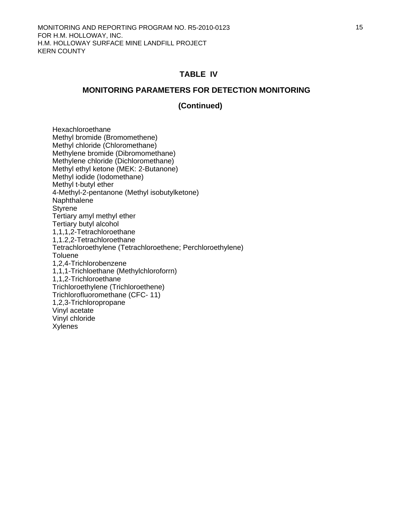### **MONITORING PARAMETERS FOR DETECTION MONITORING**

### **(Continued)**

 Hexachloroethane Methyl bromide (Bromomethene) Methyl chloride (Chloromethane) Methylene bromide (Dibromomethane) Methylene chloride (Dichloromethane) Methyl ethyl ketone (MEK: 2-Butanone) Methyl iodide (Iodomethane) Methyl t-butyl ether 4-Methyl-2-pentanone (Methyl isobutylketone) Naphthalene **Styrene**  Tertiary amyl methyl ether Tertiary butyl alcohol 1,1,1,2-Tetrachloroethane 1,1.2,2-Tetrachloroethane Tetrachloroethylene (Tetrachloroethene; Perchloroethylene) **Toluene**  1,2,4-Trichlorobenzene 1,1,1-Trichloethane (Methylchloroforrn) 1,1,2-Trichloroethane Trichloroethylene (Trichloroethene) Trichlorofluoromethane (CFC- 11) 1,2,3-Trichloropropane Vinyl acetate Vinyl chloride Xylenes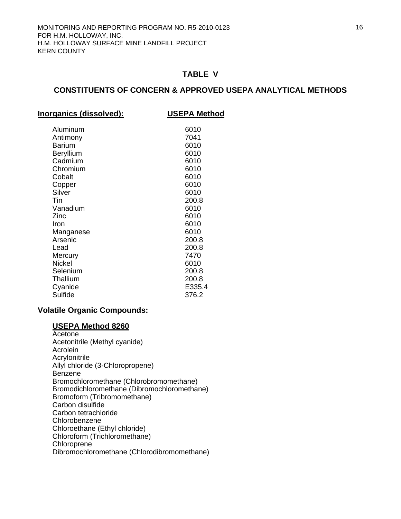### **CONSTITUENTS OF CONCERN & APPROVED USEPA ANALYTICAL METHODS**

**Inorganics (dissolved): USEPA Method**

| Aluminum  | 6010   |
|-----------|--------|
| Antimony  | 7041   |
| Barium    | 6010   |
| Beryllium | 6010   |
| Cadmium   | 6010   |
| Chromium  | 6010   |
| Cobalt    | 6010   |
| Copper    | 6010   |
| Silver    | 6010   |
| Tin       | 200.8  |
| Vanadium  | 6010   |
| Zinc      | 6010   |
| Iron      | 6010   |
| Manganese | 6010   |
| Arsenic   | 200.8  |
| Lead      | 200.8  |
| Mercury   | 7470   |
| Nickel    | 6010   |
| Selenium  | 200.8  |
| Thallium  | 200.8  |
| Cyanide   | E335.4 |
| Sulfide   | 376.2  |
|           |        |

### **Volatile Organic Compounds:**

# **USEPA Method 8260**

 Acetone Acetonitrile (Methyl cyanide) Acrolein Acrylonitrile Allyl chloride (3-Chloropropene) Benzene Bromochloromethane (Chlorobromomethane) Bromodichloromethane (Dibromochloromethane) Bromoform (Tribromomethane) Carbon disulfide Carbon tetrachloride Chlorobenzene Chloroethane (Ethyl chloride) Chloroform (Trichloromethane) Chloroprene Dibromochloromethane (Chlorodibromomethane)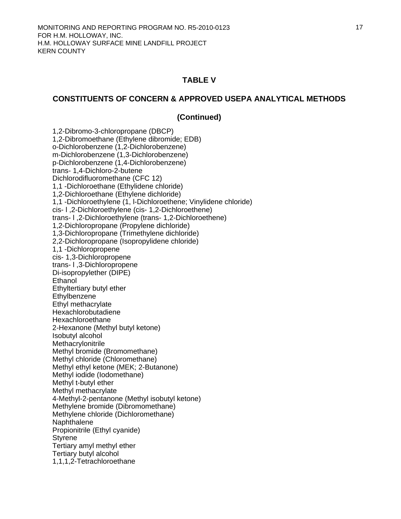### **CONSTITUENTS OF CONCERN & APPROVED USEPA ANALYTICAL METHODS**

### **(Continued)**

 1,2-Dibromo-3-chloropropane (DBCP) 1,2-Dibromoethane (Ethylene dibromide; EDB) o-Dichlorobenzene (1,2-Dichlorobenzene) m-Dichlorobenzene (1,3-Dichlorobenzene) p-Dichlorobenzene (1,4-Dichlorobenzene) trans- 1,4-Dichloro-2-butene Dichlorodifluoromethane (CFC 12) 1,1 -Dichloroethane (Ethylidene chloride) 1,2-Dichloroethane (Ethylene dichloride) 1,1 -Dichloroethylene (1, l-Dichloroethene; Vinylidene chloride) cis- l ,2-Dichloroethylene (cis- 1,2-Dichloroethene) trans- l ,2-Dichloroethylene (trans- 1,2-Dichloroethene) 1,2-Dichloropropane (Propylene dichloride) 1,3-Dichloropropane (Trimethylene dichloride) 2,2-Dichloropropane (Isopropylidene chloride) 1,1 -Dichloropropene cis- 1,3-Dichloropropene trans- l ,3-Dichloropropene Di-isopropylether (DIPE) Ethanol Ethyltertiary butyl ether **Ethylbenzene**  Ethyl methacrylate Hexachlorobutadiene Hexachloroethane 2-Hexanone (Methyl butyl ketone) Isobutyl alcohol **Methacrylonitrile**  Methyl bromide (Bromomethane) Methyl chloride (Chloromethane) Methyl ethyl ketone (MEK; 2-Butanone) Methyl iodide (Iodomethane) Methyl t-butyl ether Methyl methacrylate 4-Methyl-2-pentanone (Methyl isobutyl ketone) Methylene bromide (Dibromomethane) Methylene chloride (Dichloromethane) Naphthalene Propionitrile (Ethyl cyanide) Styrene Tertiary amyl methyl ether Tertiary butyl alcohol 1,1,1,2-Tetrachloroethane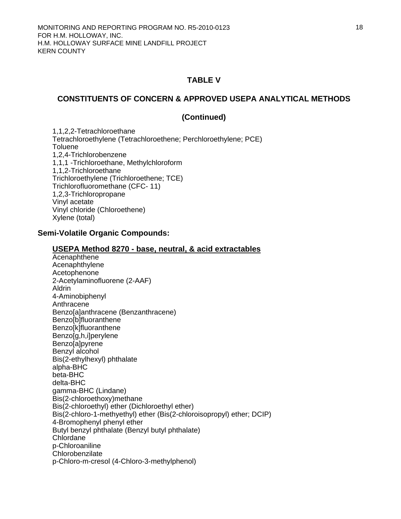### **CONSTITUENTS OF CONCERN & APPROVED USEPA ANALYTICAL METHODS**

### **(Continued)**

 1,1,2,2-Tetrachloroethane Tetrachloroethylene (Tetrachloroethene; Perchloroethylene; PCE) **Toluene**  1,2,4-Trichlorobenzene 1,1,1 -Trichloroethane, Methylchloroform 1,1,2-Trichloroethane Trichloroethylene (Trichloroethene; TCE) Trichlorofluoromethane (CFC- 11) 1,2,3-Trichloropropane Vinyl acetate Vinyl chloride (Chloroethene) Xylene (total)

#### **Semi-Volatile Organic Compounds:**

#### **USEPA Method 8270 - base, neutral, & acid extractables**

**Acenaphthene**  Acenaphthylene Acetophenone 2-Acetylaminofluorene (2-AAF) Aldrin 4-Aminobiphenyl Anthracene Benzo[a]anthracene (Benzanthracene) Benzo[b]fluoranthene Benzo[k]fluoranthene Benzo[g,h,i]perylene Benzo[a]pyrene Benzyl alcohol Bis(2-ethylhexyl) phthalate alpha-BHC beta-BHC delta-BHC gamma-BHC (Lindane) Bis(2-chloroethoxy)methane Bis(2-chloroethyl) ether (Dichloroethyl ether) Bis(2-chloro-1-methyethyl) ether (Bis(2-chloroisopropyl) ether; DCIP) 4-Bromophenyl phenyl ether Butyl benzyl phthalate (Benzyl butyl phthalate) Chlordane p-Chloroaniline **Chlorobenzilate** p-Chloro-m-cresol (4-Chloro-3-methylphenol)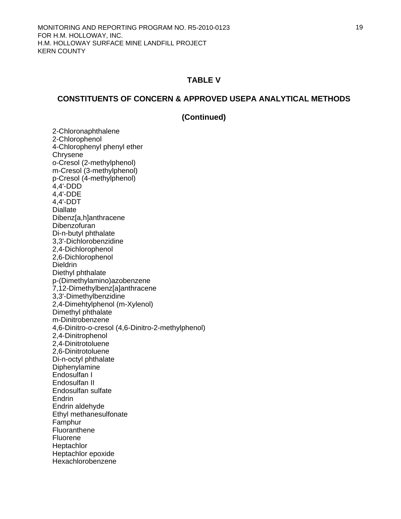### **CONSTITUENTS OF CONCERN & APPROVED USEPA ANALYTICAL METHODS**

### **(Continued)**

2-Chloronaphthalene 2-Chlorophenol 4-Chlorophenyl phenyl ether **Chrysene** o-Cresol (2-methylphenol) m-Cresol (3-methylphenol) p-Cresol (4-methylphenol) 4,4'-DDD 4,4'-DDE 4,4'-DDT **Diallate**  Dibenz[a,h]anthracene Dibenzofuran Di-n-butyl phthalate 3,3'-Dichlorobenzidine 2,4-Dichlorophenol 2,6-Dichlorophenol Dieldrin Diethyl phthalate p-(Dimethylamino)azobenzene 7,12-Dimethylbenz[a]anthracene 3,3'-Dimethylbenzidine 2,4-Dimehtylphenol (m-Xylenol) Dimethyl phthalate m-Dinitrobenzene 4,6-Dinitro-o-cresol (4,6-Dinitro-2-methylphenol) 2,4-Dinitrophenol 2,4-Dinitrotoluene 2,6-Dinitrotoluene Di-n-octyl phthalate Diphenylamine Endosulfan I Endosulfan II Endosulfan sulfate **Endrin** Endrin aldehyde Ethyl methanesulfonate Famphur Fluoranthene Fluorene **Heptachlor**  Heptachlor epoxide Hexachlorobenzene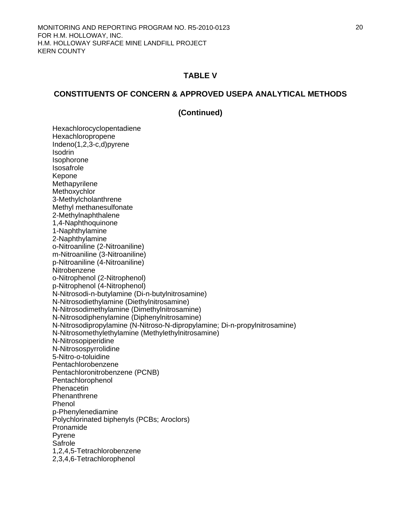### **CONSTITUENTS OF CONCERN & APPROVED USEPA ANALYTICAL METHODS**

### **(Continued)**

Hexachlorocyclopentadiene Hexachloropropene Indeno(1,2,3-c,d)pyrene **Isodrin**  Isophorone Isosafrole Kepone Methapyrilene **Methoxychlor**  3-Methylcholanthrene Methyl methanesulfonate 2-Methylnaphthalene 1,4-Naphthoquinone 1-Naphthylamine 2-Naphthylamine o-Nitroaniline (2-Nitroaniline) m-Nitroaniline (3-Nitroaniline) p-Nitroaniline (4-Nitroaniline) **Nitrobenzene**  o-Nitrophenol (2-Nitrophenol) p-Nitrophenol (4-Nitrophenol) N-Nitrosodi-n-butylamine (Di-n-butylnitrosamine) N-Nitrosodiethylamine (Diethylnitrosamine) N-Nitrosodimethylamine (Dimethylnitrosamine) N-Nitrosodiphenylamine (Diphenylnitrosamine) N-Nitrosodipropylamine (N-Nitroso-N-dipropylamine; Di-n-propylnitrosamine) N-Nitrosomethylethylamine (Methylethylnitrosamine) N-Nitrosopiperidine N-Nitrosospyrrolidine 5-Nitro-o-toluidine Pentachlorobenzene Pentachloronitrobenzene (PCNB) Pentachlorophenol Phenacetin Phenanthrene Phenol p-Phenylenediamine Polychlorinated biphenyls (PCBs; Aroclors) Pronamide Pyrene Safrole 1,2,4,5-Tetrachlorobenzene 2,3,4,6-Tetrachlorophenol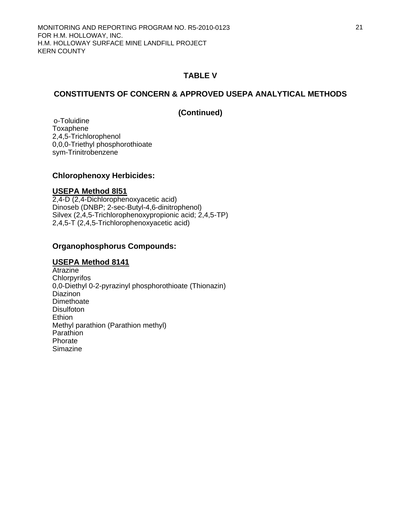## **CONSTITUENTS OF CONCERN & APPROVED USEPA ANALYTICAL METHODS**

### **(Continued)**

 o-Toluidine Toxaphene 2,4,5-Trichlorophenol 0,0,0-Triethyl phosphorothioate sym-Trinitrobenzene

### **Chlorophenoxy Herbicides:**

### **USEPA Method 8l51**

2,4-D (2,4-Dichlorophenoxyacetic acid) Dinoseb (DNBP; 2-sec-Butyl-4,6-dinitrophenol) Silvex (2,4,5-Trichlorophenoxypropionic acid; 2,4,5-TP) 2,4,5-T (2,4,5-Trichlorophenoxyacetic acid)

### **Organophosphorus Compounds:**

### **USEPA Method 8141**

**Atrazine Chlorpyrifos** 0,0-Diethyl 0-2-pyrazinyl phosphorothioate (Thionazin) Diazinon **Dimethoate Disulfoton Ethion**  Methyl parathion (Parathion methyl) **Parathion**  Phorate Simazine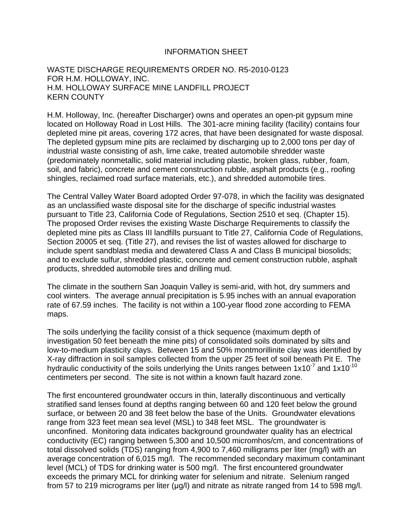### INFORMATION SHEET

## WASTE DISCHARGE REQUIREMENTS ORDER NO. R5-2010-0123 FOR H.M. HOLLOWAY, INC. H.M. HOLLOWAY SURFACE MINE LANDFILL PROJECT KERN COUNTY

H.M. Holloway, Inc. (hereafter Discharger) owns and operates an open-pit gypsum mine located on Holloway Road in Lost Hills. The 301-acre mining facility (facility) contains four depleted mine pit areas, covering 172 acres, that have been designated for waste disposal. The depleted gypsum mine pits are reclaimed by discharging up to 2,000 tons per day of industrial waste consisting of ash, lime cake, treated automobile shredder waste (predominately nonmetallic, solid material including plastic, broken glass, rubber, foam, soil, and fabric), concrete and cement construction rubble, asphalt products (e.g., roofing shingles, reclaimed road surface materials, etc.), and shredded automobile tires.

The Central Valley Water Board adopted Order 97-078, in which the facility was designated as an unclassified waste disposal site for the discharge of specific industrial wastes pursuant to Title 23, California Code of Regulations, Section 2510 et seq. (Chapter 15). The proposed Order revises the existing Waste Discharge Requirements to classify the depleted mine pits as Class III landfills pursuant to Title 27, California Code of Regulations, Section 20005 et seq. (Title 27), and revises the list of wastes allowed for discharge to include spent sandblast media and dewatered Class A and Class B municipal biosolids; and to exclude sulfur, shredded plastic, concrete and cement construction rubble, asphalt products, shredded automobile tires and drilling mud.

The climate in the southern San Joaquin Valley is semi-arid, with hot, dry summers and cool winters. The average annual precipitation is 5.95 inches with an annual evaporation rate of 67.59 inches. The facility is not within a 100-year flood zone according to FEMA maps.

The soils underlying the facility consist of a thick sequence (maximum depth of investigation 50 feet beneath the mine pits) of consolidated soils dominated by silts and low-to-medium plasticity clays. Between 15 and 50% montmorillinite clay was identified by X-ray diffraction in soil samples collected from the upper 25 feet of soil beneath Pit E. The hydraulic conductivity of the soils underlying the Units ranges between  $1x10^{-7}$  and  $1x10^{-10}$ centimeters per second. The site is not within a known fault hazard zone.

The first encountered groundwater occurs in thin, laterally discontinuous and vertically stratified sand lenses found at depths ranging between 60 and 120 feet below the ground surface, or between 20 and 38 feet below the base of the Units. Groundwater elevations range from 323 feet mean sea level (MSL) to 348 feet MSL. The groundwater is unconfined. Monitoring data indicates background groundwater quality has an electrical conductivity (EC) ranging between 5,300 and 10,500 micromhos/cm, and concentrations of total dissolved solids (TDS) ranging from 4,900 to 7,460 milligrams per liter (mg/l) with an average concentration of 6,015 mg/l. The recommended secondary maximum contaminant level (MCL) of TDS for drinking water is 500 mg/l. The first encountered groundwater exceeds the primary MCL for drinking water for selenium and nitrate. Selenium ranged from 57 to 219 micrograms per liter (μg/l) and nitrate as nitrate ranged from 14 to 598 mg/l.